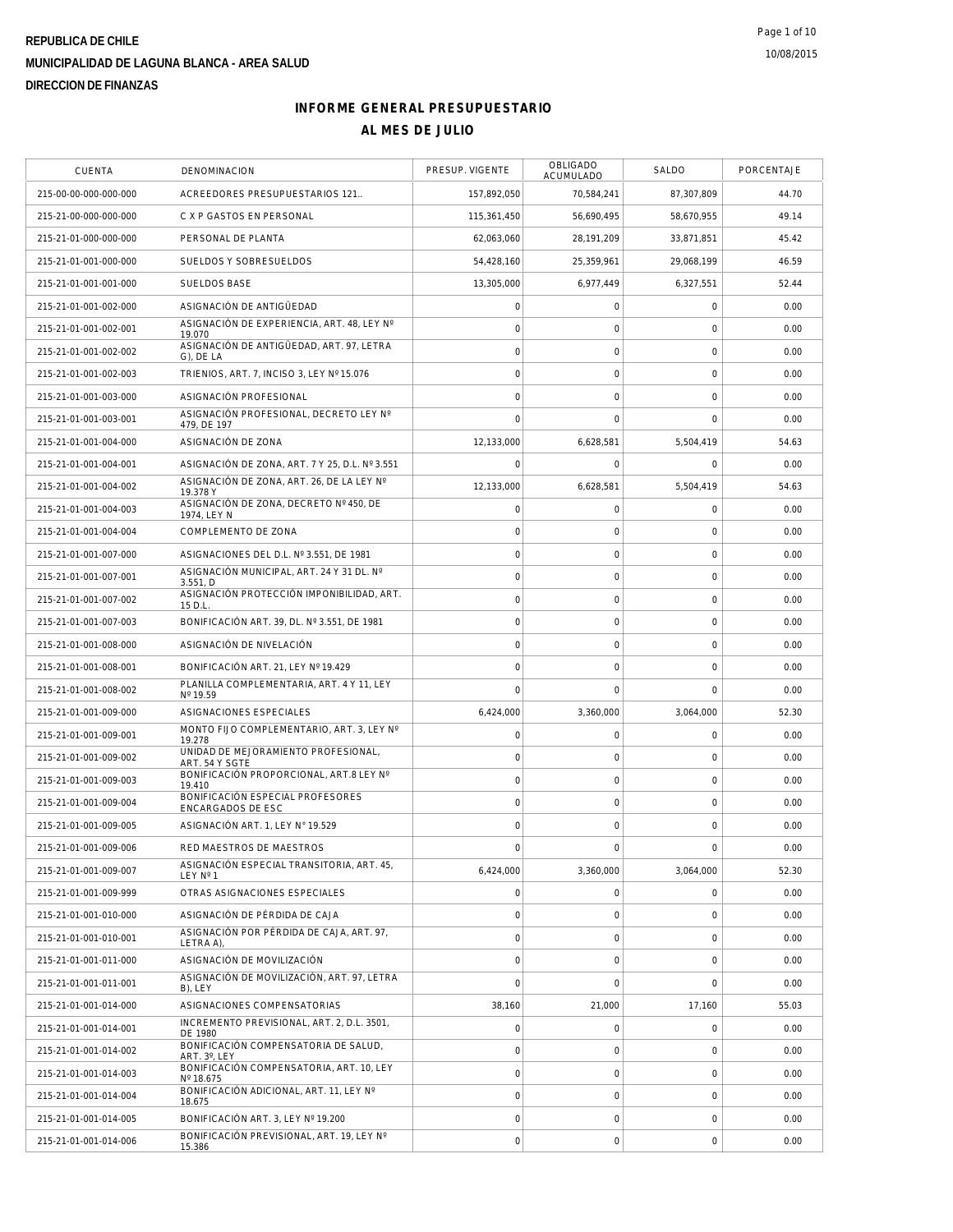| <b>CUENTA</b>         | DENOMINACION                                                 | PRESUP. VIGENTE     | <b>OBLIGADO</b><br>ACUMULADO | <b>SALDO</b> | PORCENTAJE |
|-----------------------|--------------------------------------------------------------|---------------------|------------------------------|--------------|------------|
| 215-00-00-000-000-000 | ACREEDORES PRESUPUESTARIOS 121                               | 157,892,050         | 70,584,241                   | 87,307,809   | 44.70      |
| 215-21-00-000-000-000 | C X P GASTOS EN PERSONAL                                     | 115,361,450         | 56,690,495                   | 58,670,955   | 49.14      |
| 215-21-01-000-000-000 | PERSONAL DE PLANTA                                           | 62,063,060          | 28.191.209                   | 33,871,851   | 45.42      |
| 215-21-01-001-000-000 | SUELDOS Y SOBRESUELDOS                                       | 54,428,160          | 25,359,961                   | 29,068,199   | 46.59      |
| 215-21-01-001-001-000 | <b>SUELDOS BASE</b>                                          | 13,305,000          | 6,977,449                    | 6,327,551    | 52.44      |
| 215-21-01-001-002-000 | ASIGNACIÓN DE ANTIGÜEDAD                                     | $\mathsf{O}\xspace$ | $\mathsf{O}\xspace$          | $\mathbf 0$  | 0.00       |
| 215-21-01-001-002-001 | ASIGNACIÓN DE EXPERIENCIA, ART. 48, LEY Nº<br>19.070         | $\mathsf{O}\xspace$ | $\mathbf 0$                  | $\mathbf 0$  | 0.00       |
| 215-21-01-001-002-002 | ASIGNACIÓN DE ANTIGÜEDAD, ART. 97, LETRA<br>G), DE LA        | $\mathsf{O}\xspace$ | $\mathbf 0$                  | $\mathbf 0$  | 0.00       |
| 215-21-01-001-002-003 | TRIENIOS, ART. 7, INCISO 3, LEY Nº 15.076                    | $\mathsf{O}\xspace$ | $\mathsf{O}\xspace$          | $\mathbf 0$  | 0.00       |
| 215-21-01-001-003-000 | ASIGNACIÓN PROFESIONAL                                       | 0                   | $\mathbf 0$                  | 0            | 0.00       |
| 215-21-01-001-003-001 | ASIGNACIÓN PROFESIONAL, DECRETO LEY Nº<br>479, DE 197        | $\mathbf 0$         | $\mathbf 0$                  | $\mathbf 0$  | 0.00       |
| 215-21-01-001-004-000 | ASIGNACIÓN DE ZONA                                           | 12,133,000          | 6,628,581                    | 5,504,419    | 54.63      |
| 215-21-01-001-004-001 | ASIGNACIÓN DE ZONA, ART. 7 Y 25, D.L. Nº 3.551               | $\mathbf 0$         | $\mathbf 0$                  | $\mathbf 0$  | 0.00       |
| 215-21-01-001-004-002 | ASIGNACIÓN DE ZONA, ART. 26, DE LA LEY Nº<br>19.378 Y        | 12,133,000          | 6,628,581                    | 5,504,419    | 54.63      |
| 215-21-01-001-004-003 | ASIGNACIÓN DE ZONA, DECRETO Nº 450, DE<br>1974, LEY N        | $\mathsf{O}\xspace$ | $\mathsf{O}\xspace$          | $\mathbf 0$  | 0.00       |
| 215-21-01-001-004-004 | COMPLEMENTO DE ZONA                                          | $\mathsf{O}\xspace$ | $\mathsf{O}\xspace$          | $\mathbf 0$  | 0.00       |
| 215-21-01-001-007-000 | ASIGNACIONES DEL D.L. Nº 3.551. DE 1981                      | $\mathsf{O}\xspace$ | $\mathsf{O}\xspace$          | $\mathbf 0$  | 0.00       |
| 215-21-01-001-007-001 | ASIGNACIÓN MUNICIPAL, ART. 24 Y 31 DL. Nº<br>3.551. D        | $\mathsf{O}\xspace$ | $\mathsf{O}\xspace$          | $\mathbf 0$  | 0.00       |
| 215-21-01-001-007-002 | ASIGNACIÓN PROTECCIÓN IMPONIBILIDAD, ART.<br>15 D.L.         | $\mathbf 0$         | $\mathbf 0$                  | $\mathbf 0$  | 0.00       |
| 215-21-01-001-007-003 | BONIFICACIÓN ART. 39, DL. Nº 3.551, DE 1981                  | $\mathsf{O}\xspace$ | $\mathsf{O}\xspace$          | $\mathbf 0$  | 0.00       |
| 215-21-01-001-008-000 | ASIGNACIÓN DE NIVELACIÓN                                     | $\mathsf{O}\xspace$ | $\mathsf{O}\xspace$          | $\mathbf 0$  | 0.00       |
| 215-21-01-001-008-001 | BONIFICACIÓN ART. 21, LEY Nº 19.429                          | 0                   | $\mathbf 0$                  | $\mathbf 0$  | 0.00       |
| 215-21-01-001-008-002 | PLANILLA COMPLEMENTARIA, ART. 4 Y 11, LEY<br>Nº 19.59        | $\mathbf 0$         | $\mathbf 0$                  | $\mathbf 0$  | 0.00       |
| 215-21-01-001-009-000 | ASIGNACIONES ESPECIALES                                      | 6,424,000           | 3,360,000                    | 3,064,000    | 52.30      |
| 215-21-01-001-009-001 | MONTO FIJO COMPLEMENTARIO, ART. 3, LEY Nº<br>19.278          | 0                   | $\mathsf{O}\xspace$          | $\mathbf 0$  | 0.00       |
| 215-21-01-001-009-002 | UNIDAD DE MEJORAMIENTO PROFESIONAL,<br>ART. 54 Y SGTE        | $\mathbf 0$         | $\mathbf 0$                  | $\mathbf 0$  | 0.00       |
| 215-21-01-001-009-003 | BONIFICACIÓN PROPORCIONAL, ART.8 LEY Nº<br>19.410            | $\mathsf{O}\xspace$ | $\mathsf{O}\xspace$          | $\mathbf 0$  | 0.00       |
| 215-21-01-001-009-004 | BONIFICACIÓN ESPECIAL PROFESORES<br><b>ENCARGADOS DE ESC</b> | $\mathsf{O}\xspace$ | $\mathsf{O}\xspace$          | $\mathbf 0$  | 0.00       |
| 215-21-01-001-009-005 | ASIGNACIÓN ART. 1, LEY Nº 19.529                             | $\mathsf{O}\xspace$ | $\mathbf 0$                  | 0            | 0.00       |
| 215-21-01-001-009-006 | RED MAESTROS DE MAESTROS                                     | $\mathsf{O}\xspace$ | $\mathsf O$                  | $\mathbf 0$  | 0.00       |
| 215-21-01-001-009-007 | ASIGNACIÓN ESPECIAL TRANSITORIA, ART. 45.<br>LEY Nº 1        | 6,424,000           | 3,360,000                    | 3,064,000    | 52.30      |
| 215-21-01-001-009-999 | OTRAS ASIGNACIONES ESPECIALES                                | $\mathsf{O}\xspace$ | $\mathbf 0$                  | $\mathbf 0$  | 0.00       |
| 215-21-01-001-010-000 | ASIGNACIÓN DE PÉRDIDA DE CAJA                                | $\mathsf{O}\xspace$ | $\mathsf{O}\xspace$          | $\mathbf 0$  | 0.00       |
| 215-21-01-001-010-001 | ASIGNACIÓN POR PÉRDIDA DE CAJA, ART. 97.<br>LETRA A),        | 0                   | $\mathbf 0$                  | $\mathbf 0$  | 0.00       |
| 215-21-01-001-011-000 | ASIGNACIÓN DE MOVILIZACIÓN                                   | $\mathbf 0$         | $\mathsf{O}\xspace$          | $\mathbf 0$  | 0.00       |
| 215-21-01-001-011-001 | ASIGNACIÓN DE MOVILIZACIÓN, ART. 97, LETRA<br>B), LEY        | $\overline{0}$      | $\mathbf 0$                  | $\mathbf 0$  | 0.00       |
| 215-21-01-001-014-000 | ASIGNACIONES COMPENSATORIAS                                  | 38,160              | 21,000                       | 17,160       | 55.03      |
| 215-21-01-001-014-001 | INCREMENTO PREVISIONAL, ART. 2, D.L. 3501,<br>DE 1980        | $\mathbf 0$         | $\mathbf 0$                  | $\mathbf 0$  | 0.00       |
| 215-21-01-001-014-002 | BONIFICACIÓN COMPENSATORIA DE SALUD,<br>ART. 3°, LEY         | $\mathsf{O}\xspace$ | $\mathsf{O}\xspace$          | $\mathbf 0$  | 0.00       |
| 215-21-01-001-014-003 | BONIFICACIÓN COMPENSATORIA, ART. 10, LEY<br>Nº 18.675        | 0                   | $\mathsf{O}\xspace$          | $\mathbf 0$  | 0.00       |
| 215-21-01-001-014-004 | BONIFICACIÓN ADICIONAL, ART. 11, LEY Nº<br>18.675            | $\mathsf{O}\xspace$ | 0                            | 0            | 0.00       |
| 215-21-01-001-014-005 | BONIFICACIÓN ART. 3, LEY Nº 19.200                           | $\mathsf{O}\xspace$ | $\mathsf{O}\xspace$          | $\mathbf 0$  | 0.00       |
| 215-21-01-001-014-006 | BONIFICACIÓN PREVISIONAL, ART. 19, LEY Nº<br>15.386          | $\mathsf{O}\xspace$ | $\mathsf{O}\xspace$          | $\mathbf 0$  | 0.00       |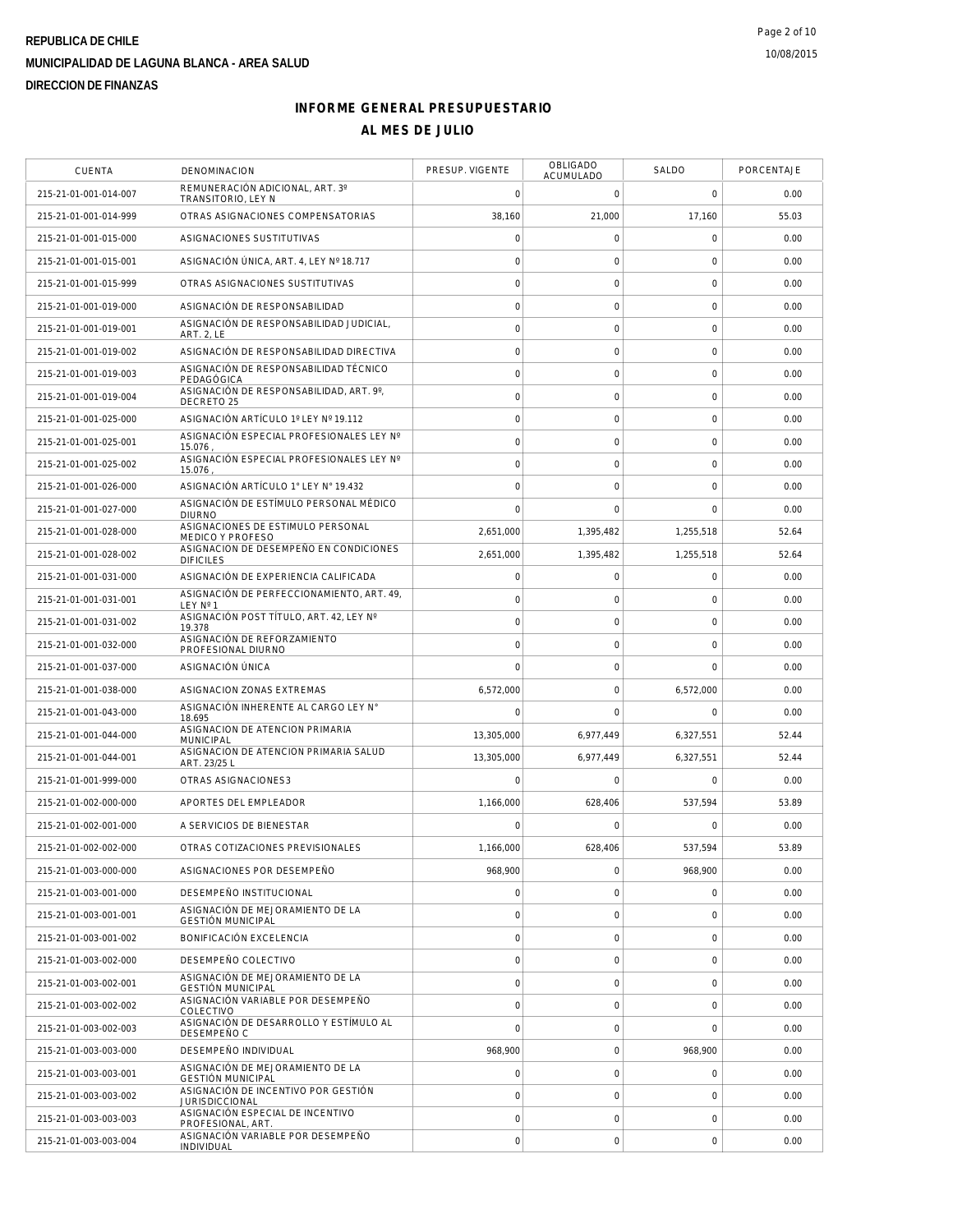| <b>CUENTA</b>         | DENOMINACION                                                 | PRESUP. VIGENTE | <b>OBLIGADO</b><br><b>ACUMULADO</b> | SALDO        | PORCENTAJE |
|-----------------------|--------------------------------------------------------------|-----------------|-------------------------------------|--------------|------------|
| 215-21-01-001-014-007 | REMUNERACIÓN ADICIONAL, ART. 3°<br>TRANSITORIO, LEY N        | 0               | 0                                   | $\mathbf 0$  | 0.00       |
| 215-21-01-001-014-999 | OTRAS ASIGNACIONES COMPENSATORIAS                            | 38,160          | 21,000                              | 17,160       | 55.03      |
| 215-21-01-001-015-000 | ASIGNACIONES SUSTITUTIVAS                                    | 0               | 0                                   | $\mathbf 0$  | 0.00       |
| 215-21-01-001-015-001 | ASIGNACIÓN ÚNICA, ART. 4, LEY Nº 18.717                      | 0               | $\mathbf 0$                         | $\mathbf 0$  | 0.00       |
| 215-21-01-001-015-999 | OTRAS ASIGNACIONES SUSTITUTIVAS                              | 0               | $\mathsf{O}\xspace$                 | $\mathbf 0$  | 0.00       |
| 215-21-01-001-019-000 | ASIGNACIÓN DE RESPONSABILIDAD                                | 0               | 0                                   | $\mathbf 0$  | 0.00       |
| 215-21-01-001-019-001 | ASIGNACIÓN DE RESPONSABILIDAD JUDICIAL,<br><b>ART. 2, LE</b> | 0               | $\mathsf{O}\xspace$                 | $\mathbf 0$  | 0.00       |
| 215-21-01-001-019-002 | ASIGNACIÓN DE RESPONSABILIDAD DIRECTIVA                      | $\circ$         | 0                                   | $\mathbf 0$  | 0.00       |
| 215-21-01-001-019-003 | ASIGNACIÓN DE RESPONSABILIDAD TÉCNICO<br>PEDAGÓGICA          | 0               | 0                                   | $\mathbf 0$  | 0.00       |
| 215-21-01-001-019-004 | ASIGNACIÓN DE RESPONSABILIDAD, ART. 9°,<br>DECRETO 25        | $\circ$         | $\mathsf{O}\xspace$                 | $\mathbf 0$  | 0.00       |
| 215-21-01-001-025-000 | ASIGNACIÓN ARTÍCULO 1º LEY Nº 19.112                         | $\overline{0}$  | $\mathsf{O}\xspace$                 | $\mathbf 0$  | 0.00       |
| 215-21-01-001-025-001 | ASIGNACIÓN ESPECIAL PROFESIONALES LEY Nº<br>15.076           | 0               | 0                                   | $\mathbf 0$  | 0.00       |
| 215-21-01-001-025-002 | ASIGNACIÓN ESPECIAL PROFESIONALES LEY Nº<br>15.076           | $\circ$         | 0                                   | $\mathbf 0$  | 0.00       |
| 215-21-01-001-026-000 | ASIGNACIÓN ARTÍCULO 1° LEY N° 19.432                         | $\circ$         | 0                                   | $\mathbf 0$  | 0.00       |
| 215-21-01-001-027-000 | ASIGNACIÓN DE ESTÍMULO PERSONAL MÉDICO<br><b>DIURNO</b>      | 0               | 0                                   | $\mathbf 0$  | 0.00       |
| 215-21-01-001-028-000 | ASIGNACIONES DE ESTIMULO PERSONAL<br>MEDICO Y PROFESO        | 2,651,000       | 1,395,482                           | 1,255,518    | 52.64      |
| 215-21-01-001-028-002 | ASIGNACION DE DESEMPEÑO EN CONDICIONES<br><b>DIFICILES</b>   | 2,651,000       | 1,395,482                           | 1,255,518    | 52.64      |
| 215-21-01-001-031-000 | ASIGNACIÓN DE EXPERIENCIA CALIFICADA                         | $\overline{0}$  | 0                                   | $\mathbf 0$  | 0.00       |
| 215-21-01-001-031-001 | ASIGNACIÓN DE PERFECCIONAMIENTO, ART. 49,<br>LEY Nº 1        | $\circ$         | $\mathbf 0$                         | $\mathbf 0$  | 0.00       |
| 215-21-01-001-031-002 | ASIGNACIÓN POST TÍTULO, ART. 42, LEY Nº<br>19.378            | $\overline{0}$  | 0                                   | $\mathbf 0$  | 0.00       |
| 215-21-01-001-032-000 | ASIGNACIÓN DE REFORZAMIENTO<br>PROFESIONAL DIURNO            | 0               | 0                                   | $\mathbf 0$  | 0.00       |
| 215-21-01-001-037-000 | ASIGNACIÓN ÚNICA                                             | $\overline{0}$  | 0                                   | $\mathbf 0$  | 0.00       |
| 215-21-01-001-038-000 | ASIGNACION ZONAS EXTREMAS                                    | 6,572,000       | 0                                   | 6,572,000    | 0.00       |
| 215-21-01-001-043-000 | ASIGNACIÓN INHERENTE AL CARGO LEY N°<br>18.695               | 0               | $\Omega$                            | $\mathbf 0$  | 0.00       |
| 215-21-01-001-044-000 | ASIGNACION DE ATENCION PRIMARIA<br><b>MUNICIPAL</b>          | 13,305,000      | 6,977,449                           | 6,327,551    | 52.44      |
| 215-21-01-001-044-001 | ASIGNACION DE ATENCION PRIMARIA SALUD<br>ART. 23/25 L        | 13,305,000      | 6,977,449                           | 6,327,551    | 52.44      |
| 215-21-01-001-999-000 | OTRAS ASIGNACIONES3                                          | 0               | 0                                   | $\mathbf 0$  | 0.00       |
| 215-21-01-002-000-000 | APORTES DEL EMPLEADOR                                        | 1,166,000       | 628,406                             | 537,594      | 53.89      |
| 215-21-01-002-001-000 | A SERVICIOS DE BIENESTAR                                     | $\Omega$        | $\Omega$                            | $\mathbf 0$  | 0.00       |
| 215-21-01-002-002-000 | OTRAS COTIZACIONES PREVISIONALES                             | 1,166,000       | 628,406                             | 537,594      | 53.89      |
| 215-21-01-003-000-000 | ASIGNACIONES POR DESEMPEÑO                                   | 968,900         | 0                                   | 968,900      | 0.00       |
| 215-21-01-003-001-000 | DESEMPEÑO INSTITUCIONAL                                      | 0               | 0                                   | $\mathbf 0$  | 0.00       |
| 215-21-01-003-001-001 | ASIGNACIÓN DE MEJORAMIENTO DE LA<br><b>GESTIÓN MUNICIPAL</b> | 0               | $\mathbf 0$                         | $\mathbf 0$  | 0.00       |
| 215-21-01-003-001-002 | BONIFICACIÓN EXCELENCIA                                      | $\mathbf 0$     | $\mathbf 0$                         | $\mathbf 0$  | 0.00       |
| 215-21-01-003-002-000 | DESEMPEÑO COLECTIVO                                          | 0               | $\mathbf 0$                         | $\mathbf 0$  | 0.00       |
| 215-21-01-003-002-001 | ASIGNACIÓN DE MEJORAMIENTO DE LA<br><b>GESTIÓN MUNICIPAL</b> | 0               | $\mathbf 0$                         | $\mathbf 0$  | 0.00       |
| 215-21-01-003-002-002 | ASIGNACIÓN VARIABLE POR DESEMPEÑO<br>COLECTIVO               | $\overline{0}$  | 0                                   | $\mathbf 0$  | 0.00       |
| 215-21-01-003-002-003 | ASIGNACIÓN DE DESARROLLO Y ESTÍMULO AL<br>DESEMPEÑO C        | $\overline{0}$  | $\mathbf 0$                         | $\mathbf{0}$ | 0.00       |
| 215-21-01-003-003-000 | DESEMPEÑO INDIVIDUAL                                         | 968,900         | $\mathbf 0$                         | 968,900      | 0.00       |
| 215-21-01-003-003-001 | ASIGNACIÓN DE MEJORAMIENTO DE LA<br><b>GESTIÓN MUNICIPAL</b> | 0               | $\mathbf 0$                         | $\mathbf{0}$ | 0.00       |
| 215-21-01-003-003-002 | ASIGNACIÓN DE INCENTIVO POR GESTIÓN<br><b>JURISDICCIONAL</b> | $\mathbf 0$     | $\mathsf{O}\xspace$                 | $\mathbf 0$  | 0.00       |
| 215-21-01-003-003-003 | ASIGNACIÓN ESPECIAL DE INCENTIVO<br>PROFESIONAL, ART.        | 0               | 0                                   | $\mathbf 0$  | 0.00       |
| 215-21-01-003-003-004 | ASIGNACIÓN VARIABLE POR DESEMPEÑO<br>INDIVIDUAL              | $\mathbf 0$     | $\mathsf{O}\xspace$                 | $\mathbf 0$  | 0.00       |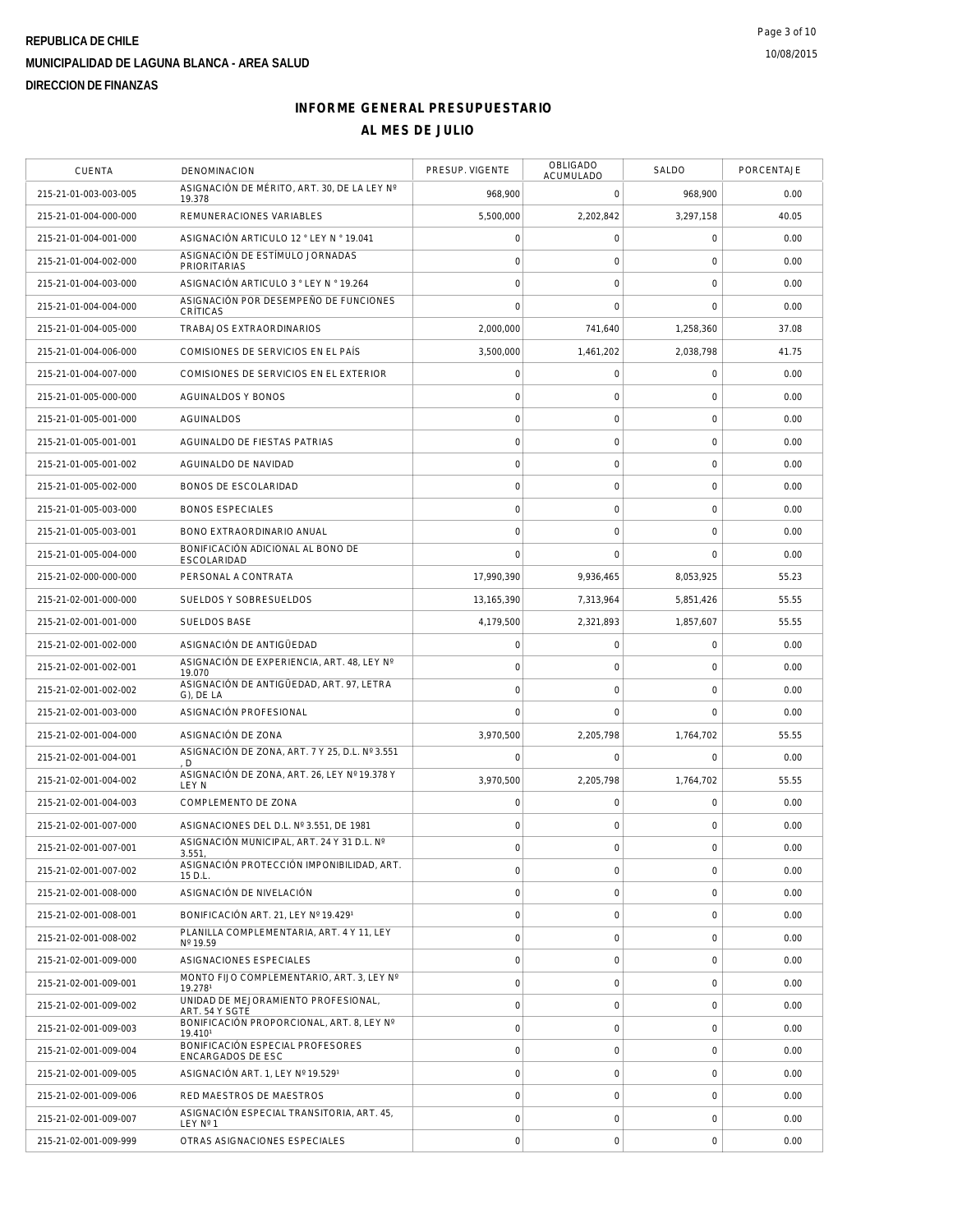| CUENTA                | DENOMINACION                                           | PRESUP. VIGENTE     | OBLIGADO<br>ACUMULADO | SALDO               | PORCENTAJE |
|-----------------------|--------------------------------------------------------|---------------------|-----------------------|---------------------|------------|
| 215-21-01-003-003-005 | ASIGNACIÓN DE MÉRITO, ART. 30, DE LA LEY Nº<br>19.378  | 968,900             | $\mathbf 0$           | 968,900             | 0.00       |
| 215-21-01-004-000-000 | REMUNERACIONES VARIABLES                               | 5,500,000           | 2,202,842             | 3,297,158           | 40.05      |
| 215-21-01-004-001-000 | ASIGNACIÓN ARTICULO 12 ° LEY N ° 19.041                | $\mathbf 0$         | $\mathsf O$           | $\mathbf 0$         | 0.00       |
| 215-21-01-004-002-000 | ASIGNACIÓN DE ESTÍMULO JORNADAS<br><b>PRIORITARIAS</b> | $\mathbf 0$         | $\mathbf 0$           | $\mathbf 0$         | 0.00       |
| 215-21-01-004-003-000 | ASIGNACIÓN ARTICULO 3 ° LEY N º 19.264                 | $\mathbf 0$         | $\mathbf 0$           | $\mathbf 0$         | 0.00       |
| 215-21-01-004-004-000 | ASIGNACIÓN POR DESEMPEÑO DE FUNCIONES<br>CRÍTICAS      | $\mathbf 0$         | $\mathbf 0$           | $\mathbf 0$         | 0.00       |
| 215-21-01-004-005-000 | TRABAJOS EXTRAORDINARIOS                               | 2,000,000           | 741,640               | 1,258,360           | 37.08      |
| 215-21-01-004-006-000 | COMISIONES DE SERVICIOS EN EL PAÍS                     | 3,500,000           | 1,461,202             | 2,038,798           | 41.75      |
| 215-21-01-004-007-000 | COMISIONES DE SERVICIOS EN EL EXTERIOR                 | $\mathbf 0$         | $\mathbf 0$           | 0                   | 0.00       |
| 215-21-01-005-000-000 | AGUINALDOS Y BONOS                                     | $\mathbf 0$         | 0                     | 0                   | 0.00       |
| 215-21-01-005-001-000 | AGUINALDOS                                             | $\mathbf 0$         | $\mathsf{O}\xspace$   | $\mathbf 0$         | 0.00       |
| 215-21-01-005-001-001 | AGUINALDO DE FIESTAS PATRIAS                           | $\mathbf 0$         | $\mathsf{O}\xspace$   | $\mathsf{O}\xspace$ | 0.00       |
| 215-21-01-005-001-002 | AGUINALDO DE NAVIDAD                                   | $\circ$             | $\mathbf 0$           | $\mathbf 0$         | 0.00       |
| 215-21-01-005-002-000 | <b>BONOS DE ESCOLARIDAD</b>                            | $\circ$             | $\mathsf{O}\xspace$   | $\mathbf 0$         | 0.00       |
| 215-21-01-005-003-000 | <b>BONOS ESPECIALES</b>                                | $\mathbf 0$         | $\mathbf 0$           | $\mathbf 0$         | 0.00       |
| 215-21-01-005-003-001 | BONO EXTRAORDINARIO ANUAL                              | $\circ$             | $\mathbf 0$           | $\mathbf 0$         | 0.00       |
| 215-21-01-005-004-000 | BONIFICACIÓN ADICIONAL AL BONO DE<br>ESCOLARIDAD       | $\mathbf 0$         | $\mathbf 0$           | $\mathbf 0$         | 0.00       |
| 215-21-02-000-000-000 | PERSONAL A CONTRATA                                    | 17.990.390          | 9,936,465             | 8,053,925           | 55.23      |
| 215-21-02-001-000-000 | SUELDOS Y SOBRESUELDOS                                 | 13,165,390          | 7,313,964             | 5,851,426           | 55.55      |
| 215-21-02-001-001-000 | SUELDOS BASE                                           | 4,179,500           | 2,321,893             | 1,857,607           | 55.55      |
| 215-21-02-001-002-000 | ASIGNACIÓN DE ANTIGÜEDAD                               | $\mathsf{O}\xspace$ | $\mathsf O$           | $\mathbf 0$         | 0.00       |
| 215-21-02-001-002-001 | ASIGNACIÓN DE EXPERIENCIA, ART. 48, LEY Nº<br>19.070   | $\mathbf 0$         | $\mathbf 0$           | 0                   | 0.00       |
| 215-21-02-001-002-002 | ASIGNACIÓN DE ANTIGÜEDAD, ART. 97, LETRA<br>G), DE LA  | $\circ$             | $\mathbf 0$           | $\mathbf 0$         | 0.00       |
| 215-21-02-001-003-000 | ASIGNACIÓN PROFESIONAL                                 | $\Omega$            | $\mathbf 0$           | $\mathbf 0$         | 0.00       |
| 215-21-02-001-004-000 | ASIGNACIÓN DE ZONA                                     | 3,970,500           | 2,205,798             | 1,764,702           | 55.55      |
| 215-21-02-001-004-001 | ASIGNACIÓN DE ZONA, ART. 7 Y 25, D.L. Nº 3.551<br>. D  | $\mathbf 0$         | $\mathbf 0$           | $\Omega$            | 0.00       |
| 215-21-02-001-004-002 | ASIGNACIÓN DE ZONA, ART. 26, LEY Nº 19.378 Y<br>LEY N  | 3.970.500           | 2,205,798             | 1,764,702           | 55.55      |
| 215-21-02-001-004-003 | COMPLEMENTO DE ZONA                                    | $\mathbf 0$         | $\mathsf O$           | 0                   | 0.00       |
| 215-21-02-001-007-000 | ASIGNACIONES DEL D.L. Nº 3.551. DE 1981                | $\mathbf 0$         | $\mathbf 0$           | 0                   | 0.00       |
| 215-21-02-001-007-001 | ASIGNACIÓN MUNICIPAL, ART. 24 Y 31 D.L. Nº<br>3.551.   | $\mathbf 0$         | $\mathbf 0$           | $\mathbf 0$         | 0.00       |
| 215-21-02-001-007-002 | ASIGNACIÓN PROTECCIÓN IMPONIBILIDAD, ART.<br>15 D.L.   | $\mathbf 0$         | $\mathsf O$           | 0                   | 0.00       |
| 215-21-02-001-008-000 | ASIGNACIÓN DE NIVELACIÓN                               | $\mathbf 0$         | $\mathbf 0$           | 0                   | 0.00       |
| 215-21-02-001-008-001 | BONIFICACIÓN ART. 21, LEY Nº 19.4291                   | $\mathbf 0$         | $\mathsf O$           | $\mathbf 0$         | 0.00       |
| 215-21-02-001-008-002 | PLANILLA COMPLEMENTARIA, ART. 4 Y 11, LEY<br>Nº 19.59  | $\mathbf 0$         | 0                     | 0                   | 0.00       |
| 215-21-02-001-009-000 | ASIGNACIONES ESPECIALES                                | $\mathbf 0$         | $\mathsf O$           | $\mathbf 0$         | 0.00       |
| 215-21-02-001-009-001 | MONTO FIJO COMPLEMENTARIO, ART. 3, LEY Nº<br>19.2781   | $\mathbf 0$         | $\mathbf 0$           | 0                   | 0.00       |
| 215-21-02-001-009-002 | UNIDAD DE MEJORAMIENTO PROFESIONAL,<br>ART. 54 Y SGTE  | $\circ$             | $\mathbf 0$           | $\overline{0}$      | 0.00       |
| 215-21-02-001-009-003 | BONIFICACIÓN PROPORCIONAL, ART. 8, LEY Nº<br>19.4101   | $\circ$             | $\mathsf{O}\xspace$   | $\mathbf 0$         | 0.00       |
| 215-21-02-001-009-004 | BONIFICACIÓN ESPECIAL PROFESORES<br>ENCARGADOS DE ESC  | $\mathbf 0$         | $\mathbf 0$           | 0                   | 0.00       |
| 215-21-02-001-009-005 | ASIGNACIÓN ART. 1, LEY Nº 19.5291                      | $\circ$             | $\mathsf O$           | 0                   | 0.00       |
| 215-21-02-001-009-006 | RED MAESTROS DE MAESTROS                               | $\mathbf 0$         | 0                     | $\mathbf 0$         | 0.00       |
| 215-21-02-001-009-007 | ASIGNACIÓN ESPECIAL TRANSITORIA, ART. 45,<br>LEY Nº 1  | $\mathbf 0$         | $\mathbf 0$           | $\mathbf 0$         | 0.00       |
| 215-21-02-001-009-999 | OTRAS ASIGNACIONES ESPECIALES                          | $\mathbf 0$         | $\mathsf O$           | $\mathbf 0$         | 0.00       |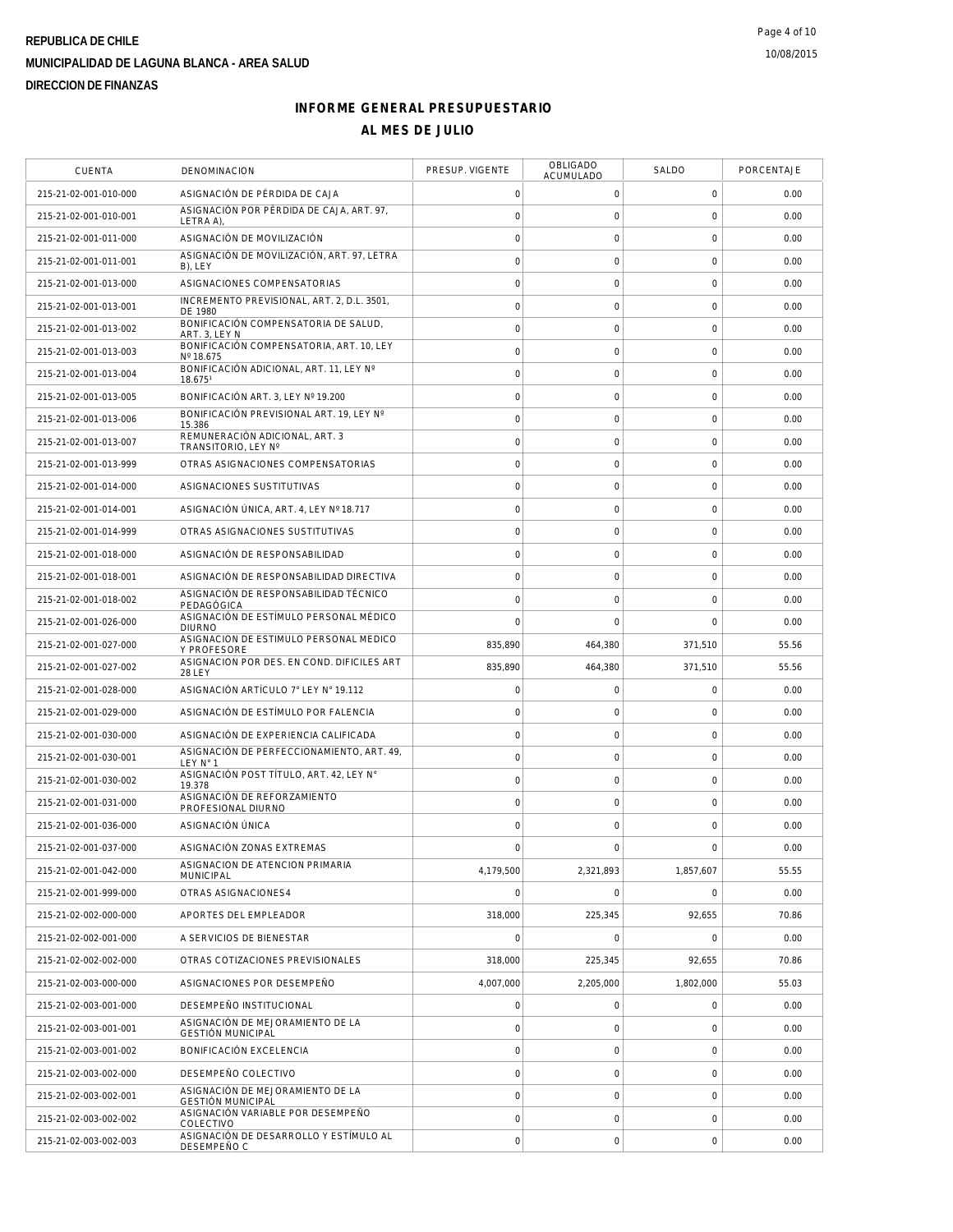| <b>CUENTA</b>         | DENOMINACION                                                 | PRESUP. VIGENTE     | OBLIGADO<br>ACUMULADO | SALDO               | PORCENTAJE |
|-----------------------|--------------------------------------------------------------|---------------------|-----------------------|---------------------|------------|
| 215-21-02-001-010-000 | ASIGNACIÓN DE PÉRDIDA DE CAJA                                | $\mathbf 0$         | 0                     | $\mathbf 0$         | 0.00       |
| 215-21-02-001-010-001 | ASIGNACIÓN POR PÉRDIDA DE CAJA, ART. 97.<br>LETRA A)         | $\circ$             | $\mathbf 0$           | $\mathbf 0$         | 0.00       |
| 215-21-02-001-011-000 | ASIGNACIÓN DE MOVILIZACIÓN                                   | $\mathbf 0$         | $\mathsf{O}\xspace$   | $\mathbf 0$         | 0.00       |
| 215-21-02-001-011-001 | ASIGNACIÓN DE MOVILIZACIÓN, ART. 97, LETRA<br>B), LEY        | $\circ$             | $\mathbf 0$           | $\mathbf 0$         | 0.00       |
| 215-21-02-001-013-000 | ASIGNACIONES COMPENSATORIAS                                  | $\mathbf 0$         | $\mathbf 0$           | $\mathbf 0$         | 0.00       |
| 215-21-02-001-013-001 | INCREMENTO PREVISIONAL, ART. 2, D.L. 3501,<br>DF 1980        | $\mathsf{O}\xspace$ | $\mathsf{O}\xspace$   | $\mathbf 0$         | 0.00       |
| 215-21-02-001-013-002 | BONIFICACIÓN COMPENSATORIA DE SALUD,<br>ART. 3. LEY N        | $\mathbf 0$         | $\mathsf{O}\xspace$   | $\mathbf 0$         | 0.00       |
| 215-21-02-001-013-003 | BONIFICACIÓN COMPENSATORIA, ART. 10, LEY<br>Nº 18.675        | $\mathbf 0$         | $\mathsf{O}\xspace$   | $\mathbf 0$         | 0.00       |
| 215-21-02-001-013-004 | BONIFICACIÓN ADICIONAL, ART. 11, LEY Nº<br>18.6751           | $\circ$             | $\mathsf{O}\xspace$   | $\mathbf 0$         | 0.00       |
| 215-21-02-001-013-005 | BONIFICACIÓN ART. 3, LEY Nº 19.200                           | $\mathbf 0$         | $\mathbf 0$           | $\mathbf 0$         | 0.00       |
| 215-21-02-001-013-006 | BONIFICACIÓN PREVISIONAL ART. 19, LEY Nº<br>15.386           | $\mathsf{O}\xspace$ | $\mathbf 0$           | $\mathbf 0$         | 0.00       |
| 215-21-02-001-013-007 | REMUNERACIÓN ADICIONAL, ART. 3<br>TRANSITORIO, LEY Nº        | $\circ$             | $\mathsf{O}\xspace$   | $\mathbf 0$         | 0.00       |
| 215-21-02-001-013-999 | OTRAS ASIGNACIONES COMPENSATORIAS                            | $\mathbf 0$         | $\mathsf{O}\xspace$   | $\mathbf 0$         | 0.00       |
| 215-21-02-001-014-000 | ASIGNACIONES SUSTITUTIVAS                                    | $\circ$             | $\mathbf 0$           | $\mathbf 0$         | 0.00       |
| 215-21-02-001-014-001 | ASIGNACIÓN ÚNICA, ART. 4, LEY Nº 18.717                      | $\mathbf 0$         | $\mathsf{O}\xspace$   | $\mathbf 0$         | 0.00       |
| 215-21-02-001-014-999 | OTRAS ASIGNACIONES SUSTITUTIVAS                              | $\circ$             | $\mathsf{O}\xspace$   | $\mathbf 0$         | 0.00       |
| 215-21-02-001-018-000 | ASIGNACIÓN DE RESPONSABILIDAD                                | $\mathbf 0$         | $\mathbf 0$           | $\mathbf 0$         | 0.00       |
| 215-21-02-001-018-001 | ASIGNACIÓN DE RESPONSABILIDAD DIRECTIVA                      | $\circ$             | $\mathsf{O}\xspace$   | $\mathbf 0$         | 0.00       |
| 215-21-02-001-018-002 | ASIGNACIÓN DE RESPONSABILIDAD TÉCNICO<br>PEDAGÓGICA          | $\circ$             | $\mathbf 0$           | $\mathbf 0$         | 0.00       |
| 215-21-02-001-026-000 | ASIGNACIÓN DE ESTÍMULO PERSONAL MÉDICO<br><b>DIURNO</b>      | $\Omega$            | $\mathbf 0$           | $\mathbf 0$         | 0.00       |
| 215-21-02-001-027-000 | ASIGNACION DE ESTIMULO PERSONAL MEDICO<br><b>Y PROFESORE</b> | 835,890             | 464,380               | 371,510             | 55.56      |
| 215-21-02-001-027-002 | ASIGNACION POR DES. EN COND. DIFICILES ART<br><b>28 LEY</b>  | 835,890             | 464,380               | 371,510             | 55.56      |
| 215-21-02-001-028-000 | ASIGNACIÓN ARTÍCULO 7° LEY N° 19.112                         | $\mathbf 0$         | $\mathbf 0$           | $\mathbf 0$         | 0.00       |
| 215-21-02-001-029-000 | ASIGNACIÓN DE ESTÍMULO POR FALENCIA                          | $\mathbf 0$         | $\mathsf{O}\xspace$   | $\mathbf 0$         | 0.00       |
| 215-21-02-001-030-000 | ASIGNACIÓN DE EXPERIENCIA CALIFICADA                         | $\mathbf 0$         | $\mathsf{O}\xspace$   | $\mathbf 0$         | 0.00       |
| 215-21-02-001-030-001 | ASIGNACIÓN DE PERFECCIONAMIENTO, ART. 49,<br>LEY N° 1        | $\mathbf 0$         | $\mathsf{O}\xspace$   | $\mathsf{O}\xspace$ | 0.00       |
| 215-21-02-001-030-002 | ASIGNACIÓN POST TÍTULO, ART. 42, LEY N°<br>19.378            | $\circ$             | $\mathsf{O}\xspace$   | $\mathbf 0$         | 0.00       |
| 215-21-02-001-031-000 | ASIGNACIÓN DE REFORZAMIENTO<br>PROFESIONAL DIURNO            | $\circ$             | $\mathsf{O}\xspace$   | $\mathbf 0$         | 0.00       |
| 215-21-02-001-036-000 | ASIGNACIÓN ÚNICA                                             | $\mathbf 0$         | $\mathbf 0$           | $\mathbf 0$         | 0.00       |
| 215-21-02-001-037-000 | ASIGNACIÓN ZONAS EXTREMAS                                    | $\mathbf 0$         | $\mathsf{O}\xspace$   | $\mathbf 0$         | 0.00       |
| 215-21-02-001-042-000 | ASIGNACION DE ATENCION PRIMARIA<br><b>MUNICIPAL</b>          | 4,179,500           | 2,321,893             | 1,857,607           | 55.55      |
| 215-21-02-001-999-000 | OTRAS ASIGNACIONES4                                          | $\Omega$            | $\mathbf 0$           | $\mathbf 0$         | 0.00       |
| 215-21-02-002-000-000 | APORTES DEL EMPLEADOR                                        | 318,000             | 225,345               | 92,655              | 70.86      |
| 215-21-02-002-001-000 | A SERVICIOS DE BIENESTAR                                     | $\overline{0}$      | $\mathsf O$           | $\mathbf 0$         | 0.00       |
| 215-21-02-002-002-000 | OTRAS COTIZACIONES PREVISIONALES                             | 318,000             | 225,345               | 92,655              | 70.86      |
| 215-21-02-003-000-000 | ASIGNACIONES POR DESEMPEÑO                                   | 4,007,000           | 2.205.000             | 1,802,000           | 55.03      |
| 215-21-02-003-001-000 | DESEMPEÑO INSTITUCIONAL                                      | $\mathsf{O}\xspace$ | 0                     | $\mathbf 0$         | 0.00       |
| 215-21-02-003-001-001 | ASIGNACIÓN DE MEJORAMIENTO DE LA<br><b>GESTIÓN MUNICIPAL</b> | $\mathsf{O}\xspace$ | $\mathsf O$           | $\mathbf 0$         | 0.00       |
| 215-21-02-003-001-002 | BONIFICACIÓN EXCELENCIA                                      | $\circ$             | $\mathsf O$           | $\mathbf 0$         | 0.00       |
| 215-21-02-003-002-000 | DESEMPEÑO COLECTIVO                                          | $\circ$             | $\mathsf{O}\xspace$   | $\mathbf 0$         | 0.00       |
| 215-21-02-003-002-001 | ASIGNACIÓN DE MEJORAMIENTO DE LA<br><b>GESTIÓN MUNICIPAL</b> | $\mathbf 0$         | $\mathbf 0$           | $\mathbf 0$         | 0.00       |
| 215-21-02-003-002-002 | ASIGNACIÓN VARIABLE POR DESEMPEÑO<br>COLECTIVO               | $\mathsf{O}\xspace$ | $\mathsf O$           | $\mathbf 0$         | 0.00       |
| 215-21-02-003-002-003 | ASIGNACIÓN DE DESARROLLO Y ESTÍMULO AL<br>DESEMPEÑO C        | $\circ$             | $\mathsf{O}\xspace$   | $\mathbf 0$         | 0.00       |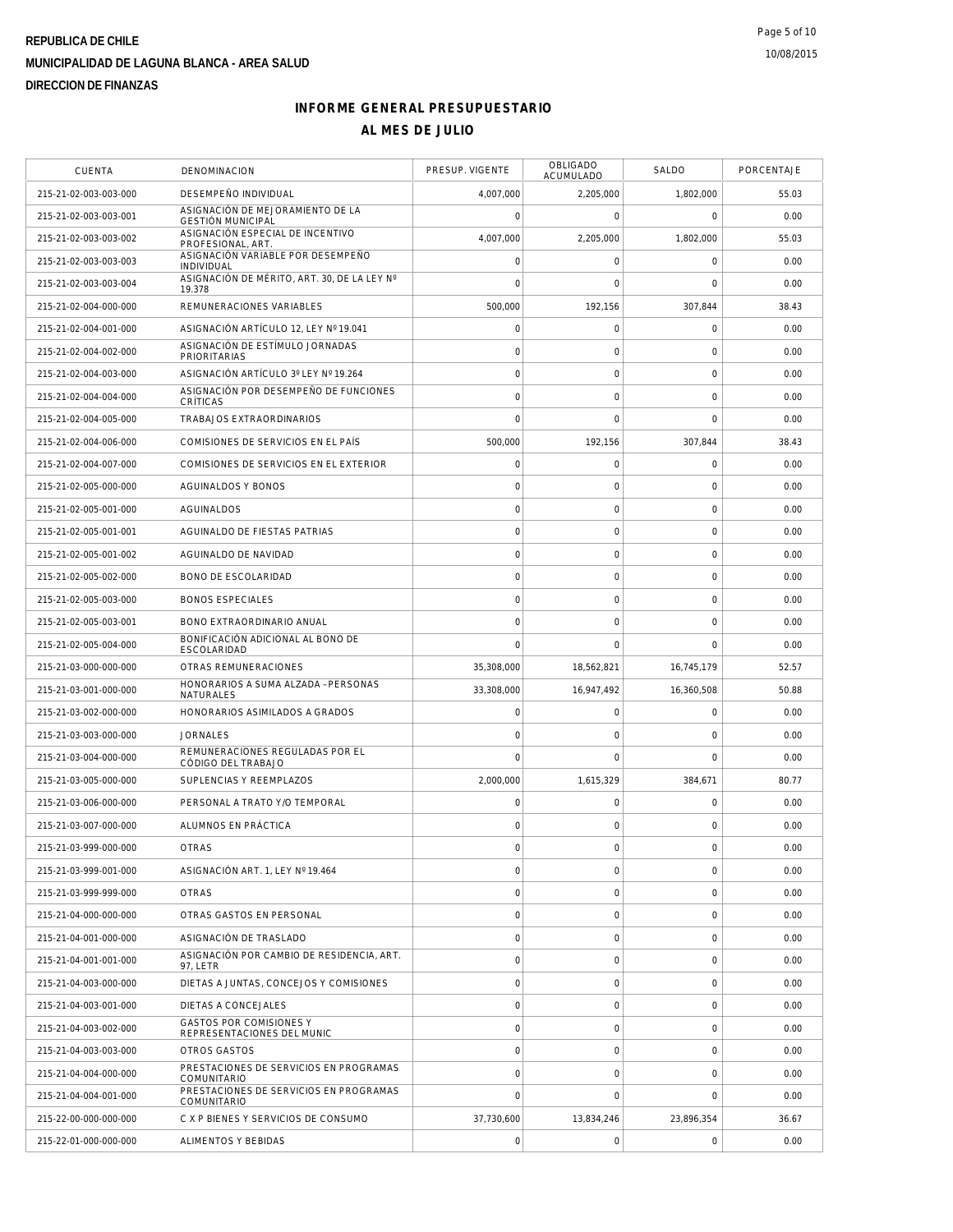| <b>CUENTA</b>         | DENOMINACION                                                 | PRESUP. VIGENTE     | <b>OBLIGADO</b><br>ACUMULADO | SALDO       | PORCENTAJE |
|-----------------------|--------------------------------------------------------------|---------------------|------------------------------|-------------|------------|
| 215-21-02-003-003-000 | DESEMPEÑO INDIVIDUAL                                         | 4,007,000           | 2,205,000                    | 1,802,000   | 55.03      |
| 215-21-02-003-003-001 | ASIGNACIÓN DE MEJORAMIENTO DE LA<br><b>GESTIÓN MUNICIPAL</b> | $\mathbf 0$         | $\mathbf 0$                  | $\mathbf 0$ | 0.00       |
| 215-21-02-003-003-002 | ASIGNACIÓN ESPECIAL DE INCENTIVO<br>PROFESIONAL, ART.        | 4,007,000           | 2,205,000                    | 1.802.000   | 55.03      |
| 215-21-02-003-003-003 | ASIGNACIÓN VARIABLE POR DESEMPEÑO<br><b>INDIVIDUAL</b>       | $\mathsf{O}\xspace$ | $\mathsf O$                  | $\mathbf 0$ | 0.00       |
| 215-21-02-003-003-004 | ASIGNACIÓN DE MÉRITO, ART. 30, DE LA LEY Nº<br>19.378        | $\bigcap$           | $\mathbf 0$                  | $\mathbf 0$ | 0.00       |
| 215-21-02-004-000-000 | REMUNERACIONES VARIABLES                                     | 500,000             | 192,156                      | 307,844     | 38.43      |
| 215-21-02-004-001-000 | ASIGNACIÓN ARTÍCULO 12, LEY Nº 19.041                        | $\mathsf{O}\xspace$ | $\mathsf O$                  | $\mathbf 0$ | 0.00       |
| 215-21-02-004-002-000 | ASIGNACIÓN DE ESTÍMULO JORNADAS<br><b>PRIORITARIAS</b>       | $\mathbf 0$         | $\mathbf 0$                  | $\mathbf 0$ | 0.00       |
| 215-21-02-004-003-000 | ASIGNACIÓN ARTÍCULO 3º LEY Nº 19.264                         | $\circ$             | $\mathbf 0$                  | $\mathbf 0$ | 0.00       |
| 215-21-02-004-004-000 | ASIGNACIÓN POR DESEMPEÑO DE FUNCIONES<br>CRÍTICAS            | $\circ$             | $\mathsf{O}\xspace$          | $\mathbf 0$ | 0.00       |
| 215-21-02-004-005-000 | TRABAJOS EXTRAORDINARIOS                                     | $\mathbf 0$         | $\mathbf 0$                  | $\mathbf 0$ | 0.00       |
| 215-21-02-004-006-000 | COMISIONES DE SERVICIOS EN EL PAÍS                           | 500,000             | 192,156                      | 307,844     | 38.43      |
| 215-21-02-004-007-000 | COMISIONES DE SERVICIOS EN EL EXTERIOR                       | $\mathsf{O}\xspace$ | $\mathsf O$                  | $\mathbf 0$ | 0.00       |
| 215-21-02-005-000-000 | <b>AGUINALDOS Y BONOS</b>                                    | $\mathbf 0$         | $\mathbf 0$                  | $\mathbf 0$ | 0.00       |
| 215-21-02-005-001-000 | AGUINALDOS                                                   | $\circ$             | $\mathbf 0$                  | $\mathbf 0$ | 0.00       |
| 215-21-02-005-001-001 | AGUINALDO DE FIESTAS PATRIAS                                 | $\mathsf{O}\xspace$ | $\mathsf{O}\xspace$          | $\mathbf 0$ | 0.00       |
| 215-21-02-005-001-002 | AGUINALDO DE NAVIDAD                                         | $\circ$             | $\mathsf{O}\xspace$          | $\mathbf 0$ | 0.00       |
| 215-21-02-005-002-000 | <b>BONO DE ESCOLARIDAD</b>                                   | $\mathbf 0$         | $\mathsf{O}\xspace$          | $\mathbf 0$ | 0.00       |
| 215-21-02-005-003-000 | <b>BONOS ESPECIALES</b>                                      | $\mathsf{O}\xspace$ | $\mathsf{O}\xspace$          | $\mathbf 0$ | 0.00       |
| 215-21-02-005-003-001 | BONO EXTRAORDINARIO ANUAL                                    | $\mathbf 0$         | $\mathbf 0$                  | $\mathbf 0$ | 0.00       |
| 215-21-02-005-004-000 | BONIFICACIÓN ADICIONAL AL BONO DE<br>ESCOLARIDAD             | $\mathbf 0$         | $\mathbf 0$                  | $\mathbf 0$ | 0.00       |
| 215-21-03-000-000-000 | OTRAS REMUNERACIONES                                         | 35,308,000          | 18,562,821                   | 16,745,179  | 52.57      |
| 215-21-03-001-000-000 | HONORARIOS A SUMA ALZADA - PERSONAS<br>NATURALES             | 33,308,000          | 16,947,492                   | 16,360,508  | 50.88      |
| 215-21-03-002-000-000 | HONORARIOS ASIMILADOS A GRADOS                               | $\circ$             | 0                            | 0           | 0.00       |
| 215-21-03-003-000-000 | <b>JORNALES</b>                                              | $\mathbf 0$         | 0                            | $\mathbf 0$ | 0.00       |
| 215-21-03-004-000-000 | REMUNERACIONES REGULADAS POR EL<br>CÓDIGO DEL TRABAJO        | $\mathbf 0$         | $\mathbf 0$                  | $\mathbf 0$ | 0.00       |
| 215-21-03-005-000-000 | SUPLENCIAS Y REEMPLAZOS                                      | 2,000,000           | 1,615,329                    | 384,671     | 80.77      |
| 215-21-03-006-000-000 | PERSONAL A TRATO Y/O TEMPORAL                                | $\mathsf{O}\xspace$ | $\mathsf O$                  | $\mathbf 0$ | 0.00       |
| 215-21-03-007-000-000 | ALUMNOS EN PRÁCTICA                                          | $\mathbf 0$         | $\mathsf{O}\xspace$          | $\mathbf 0$ | 0.00       |
| 215-21-03-999-000-000 | <b>OTRAS</b>                                                 | $\mathbf 0$         | $\mathbf 0$                  | $\mathbf 0$ | 0.00       |
| 215-21-03-999-001-000 | ASIGNACIÓN ART. 1, LEY Nº 19.464                             | $\mathbf 0$         | $\mathsf O$                  | $\mathbf 0$ | 0.00       |
| 215-21-03-999-999-000 | <b>OTRAS</b>                                                 | $\mathbf 0$         | $\mathbf 0$                  | $\mathbf 0$ | 0.00       |
| 215-21-04-000-000-000 | OTRAS GASTOS EN PERSONAL                                     | $\mathsf{O}\xspace$ | $\mathbf 0$                  | $\mathbf 0$ | 0.00       |
| 215-21-04-001-000-000 | ASIGNACIÓN DE TRASLADO                                       | $\circ$             | $\mathsf{O}\xspace$          | $\mathbf 0$ | 0.00       |
| 215-21-04-001-001-000 | ASIGNACIÓN POR CAMBIO DE RESIDENCIA, ART.<br>97, LETR        | $\circ$             | $\mathsf{O}\xspace$          | $\mathbf 0$ | 0.00       |
| 215-21-04-003-000-000 | DIETAS A JUNTAS, CONCEJOS Y COMISIONES                       | $\circ$             | $\mathbf 0$                  | $\mathbf 0$ | 0.00       |
| 215-21-04-003-001-000 | DIETAS A CONCEJALES                                          | $\mathbf 0$         | 0                            | $\mathbf 0$ | 0.00       |
| 215-21-04-003-002-000 | <b>GASTOS POR COMISIONES Y</b><br>REPRESENTACIONES DEL MUNIC | $\mathsf{O}\xspace$ | $\mathbf 0$                  | $\mathbf 0$ | 0.00       |
| 215-21-04-003-003-000 | OTROS GASTOS                                                 | $\circ$             | $\mathbf 0$                  | $\mathbf 0$ | 0.00       |
| 215-21-04-004-000-000 | PRESTACIONES DE SERVICIOS EN PROGRAMAS<br><b>COMUNITARIO</b> | $\mathsf{O}\xspace$ | $\mathsf O$                  | $\mathbf 0$ | 0.00       |
| 215-21-04-004-001-000 | PRESTACIONES DE SERVICIOS EN PROGRAMAS<br>COMUNITARIO        | $\mathbf 0$         | $\mathbf 0$                  | $\mathbf 0$ | 0.00       |
| 215-22-00-000-000-000 | C X P BIENES Y SERVICIOS DE CONSUMO                          | 37,730,600          | 13,834,246                   | 23,896,354  | 36.67      |
| 215-22-01-000-000-000 | ALIMENTOS Y BEBIDAS                                          | $\mathsf{O}\xspace$ | $\mathsf O$                  | $\mathbf 0$ | 0.00       |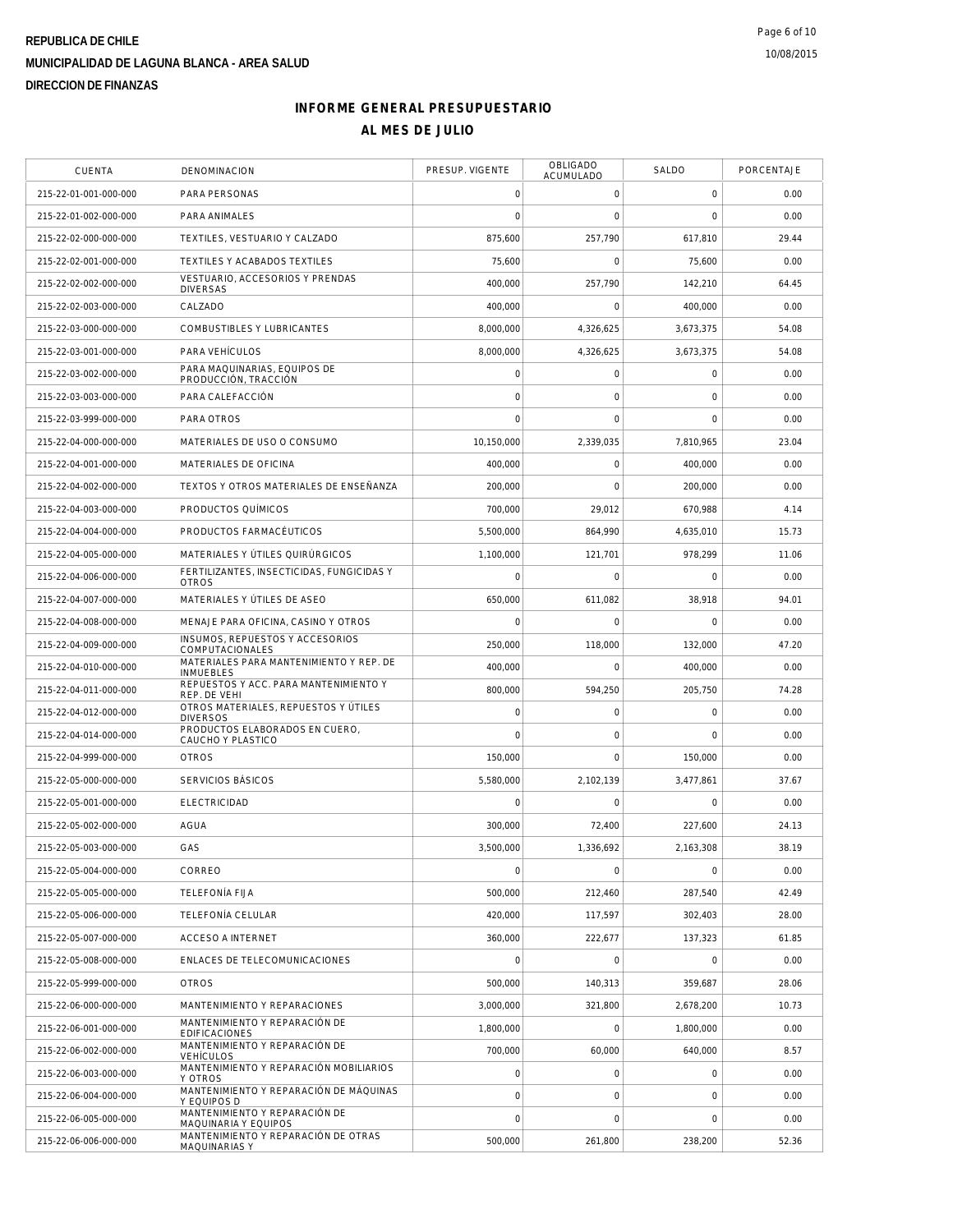| <b>CUENTA</b>         | DENOMINACION                                                | PRESUP. VIGENTE     | <b>OBLIGADO</b><br><b>ACUMULADO</b> | SALDO          | PORCENTAJE |
|-----------------------|-------------------------------------------------------------|---------------------|-------------------------------------|----------------|------------|
| 215-22-01-001-000-000 | PARA PERSONAS                                               | $\mathbf 0$         | $\mathbf 0$                         | 0              | 0.00       |
| 215-22-01-002-000-000 | PARA ANIMALES                                               | $\overline{0}$      | $\mathbf 0$                         | $\overline{0}$ | 0.00       |
| 215-22-02-000-000-000 | TEXTILES, VESTUARIO Y CALZADO                               | 875,600             | 257,790                             | 617,810        | 29.44      |
| 215-22-02-001-000-000 | TEXTILES Y ACABADOS TEXTILES                                | 75,600              | $\Omega$                            | 75,600         | 0.00       |
| 215-22-02-002-000-000 | VESTUARIO, ACCESORIOS Y PRENDAS<br><b>DIVERSAS</b>          | 400,000             | 257,790                             | 142,210        | 64.45      |
| 215-22-02-003-000-000 | CALZADO                                                     | 400,000             | $\mathsf{O}\xspace$                 | 400,000        | 0.00       |
| 215-22-03-000-000-000 | COMBUSTIBLES Y LUBRICANTES                                  | 8,000,000           | 4,326,625                           | 3,673,375      | 54.08      |
| 215-22-03-001-000-000 | PARA VEHÍCULOS                                              | 8,000,000           | 4,326,625                           | 3.673.375      | 54.08      |
| 215-22-03-002-000-000 | PARA MAQUINARIAS, EQUIPOS DE<br>PRODUCCIÓN, TRACCIÓN        | $\mathbf 0$         | $\mathbf 0$                         | $\mathbf 0$    | 0.00       |
| 215-22-03-003-000-000 | PARA CALEFACCIÓN                                            | $\mathbf 0$         | $\mathbf 0$                         | $\mathbf 0$    | 0.00       |
| 215-22-03-999-000-000 | PARA OTROS                                                  | $\overline{0}$      | $\mathbf 0$                         | $\mathbf 0$    | 0.00       |
| 215-22-04-000-000-000 | MATERIALES DE USO O CONSUMO                                 | 10,150,000          | 2,339,035                           | 7,810,965      | 23.04      |
| 215-22-04-001-000-000 | MATERIALES DE OFICINA                                       | 400,000             | 0                                   | 400,000        | 0.00       |
| 215-22-04-002-000-000 | TEXTOS Y OTROS MATERIALES DE ENSEÑANZA                      | 200,000             | $\mathbf 0$                         | 200,000        | 0.00       |
| 215-22-04-003-000-000 | PRODUCTOS QUÍMICOS                                          | 700,000             | 29,012                              | 670,988        | 4.14       |
| 215-22-04-004-000-000 | PRODUCTOS FARMACÉUTICOS                                     | 5,500,000           | 864,990                             | 4,635,010      | 15.73      |
| 215-22-04-005-000-000 | MATERIALES Y ÚTILES QUIRÚRGICOS                             | 1,100,000           | 121,701                             | 978,299        | 11.06      |
| 215-22-04-006-000-000 | FERTILIZANTES, INSECTICIDAS, FUNGICIDAS Y<br><b>OTROS</b>   | $\mathbf 0$         | $\mathsf{O}\xspace$                 | $\mathbf 0$    | 0.00       |
| 215-22-04-007-000-000 | MATERIALES Y ÚTILES DE ASEO                                 | 650,000             | 611,082                             | 38,918         | 94.01      |
| 215-22-04-008-000-000 | MENAJE PARA OFICINA, CASINO Y OTROS                         | $\mathbf 0$         | $\mathbf 0$                         | $\mathbf 0$    | 0.00       |
| 215-22-04-009-000-000 | INSUMOS, REPUESTOS Y ACCESORIOS<br>COMPUTACIONALES          | 250,000             | 118,000                             | 132,000        | 47.20      |
| 215-22-04-010-000-000 | MATERIALES PARA MANTENIMIENTO Y REP. DE<br><b>INMUEBLES</b> | 400,000             | $\mathbf 0$                         | 400,000        | 0.00       |
| 215-22-04-011-000-000 | REPUESTOS Y ACC. PARA MANTENIMIENTO Y<br>REP. DE VEHI       | 800,000             | 594,250                             | 205,750        | 74.28      |
| 215-22-04-012-000-000 | OTROS MATERIALES, REPUESTOS Y ÚTILES<br><b>DIVERSOS</b>     | $\mathbf 0$         | $\mathsf{O}\xspace$                 | $\mathbf 0$    | 0.00       |
| 215-22-04-014-000-000 | PRODUCTOS ELABORADOS EN CUERO,<br>CAUCHO Y PLASTICO         | $\mathbf 0$         | $\mathbf 0$                         | $\mathbf 0$    | 0.00       |
| 215-22-04-999-000-000 | <b>OTROS</b>                                                | 150,000             | $\mathbf 0$                         | 150,000        | 0.00       |
| 215-22-05-000-000-000 | SERVICIOS BÁSICOS                                           | 5,580,000           | 2,102,139                           | 3,477,861      | 37.67      |
| 215-22-05-001-000-000 | <b>ELECTRICIDAD</b>                                         | $\mathbf 0$         | $\mathbf 0$                         | $\mathbf 0$    | 0.00       |
| 215-22-05-002-000-000 | AGUA                                                        | 300,000             | 72,400                              | 227,600        | 24.13      |
| 215-22-05-003-000-000 | GAS                                                         | 3,500,000           | 1,336,692                           | 2,163,308      | 38.19      |
| 215-22-05-004-000-000 | CORREO                                                      | $\mathbf 0$         | $\mathsf{O}\xspace$                 | $\mathbf 0$    | 0.00       |
| 215-22-05-005-000-000 | TELEEONÍA ELJA                                              | 500,000             | 212,460                             | 287,540        | 42.49      |
| 215-22-05-006-000-000 | TELEFONÍA CELULAR                                           | 420,000             | 117.597                             | 302,403        | 28.00      |
| 215-22-05-007-000-000 | <b>ACCESO A INTERNET</b>                                    | 360,000             | 222,677                             | 137,323        | 61.85      |
| 215-22-05-008-000-000 | ENLACES DE TELECOMUNICACIONES                               | $\mathsf{O}\xspace$ | $\mathbf 0$                         | $\overline{0}$ | 0.00       |
| 215-22-05-999-000-000 | <b>OTROS</b>                                                | 500,000             | 140,313                             | 359,687        | 28.06      |
| 215-22-06-000-000-000 | MANTENIMIENTO Y REPARACIONES                                | 3,000,000           | 321,800                             | 2,678,200      | 10.73      |
| 215-22-06-001-000-000 | MANTENIMIENTO Y REPARACIÓN DE<br><b>EDIFICACIONES</b>       | 1,800,000           | $\mathbf 0$                         | 1,800,000      | 0.00       |
| 215-22-06-002-000-000 | MANTENIMIENTO Y REPARACIÓN DE<br><b>VEHÍCULOS</b>           | 700,000             | 60,000                              | 640,000        | 8.57       |
| 215-22-06-003-000-000 | MANTENIMIENTO Y REPARACIÓN MOBILIARIOS<br>Y OTROS           | $\mathsf{O}\xspace$ | $\mathbf 0$                         | $\mathbf 0$    | 0.00       |
| 215-22-06-004-000-000 | MANTENIMIENTO Y REPARACIÓN DE MÁQUINAS<br>Y EQUIPOS D       | $\mathbf 0$         | $\mathbf 0$                         | $\mathbf 0$    | 0.00       |
| 215-22-06-005-000-000 | MANTENIMIENTO Y REPARACIÓN DE<br>MAQUINARIA Y EQUIPOS       | $\mathsf{O}\xspace$ | $\mathsf{O}\xspace$                 | $\mathbf 0$    | 0.00       |
| 215-22-06-006-000-000 | MANTENIMIENTO Y REPARACIÓN DE OTRAS<br>MAQUINARIAS Y        | 500,000             | 261,800                             | 238,200        | 52.36      |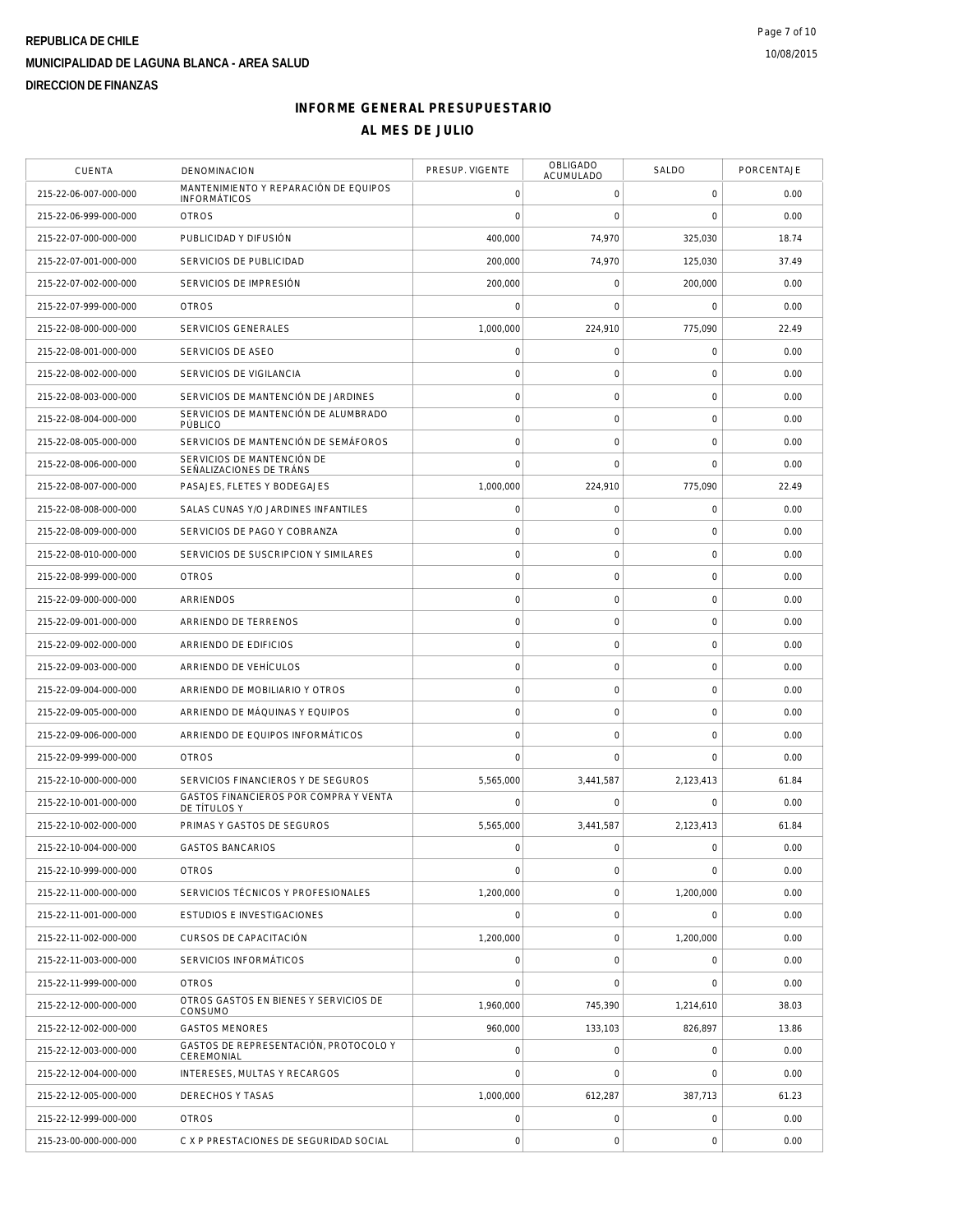| <b>CUENTA</b>         | DENOMINACION                                                 | PRESUP. VIGENTE     | OBLIGADO<br><b>ACUMULADO</b> | SALDO               | PORCENTAJE |
|-----------------------|--------------------------------------------------------------|---------------------|------------------------------|---------------------|------------|
| 215-22-06-007-000-000 | MANTENIMIENTO Y REPARACIÓN DE EQUIPOS<br><b>INFORMÁTICOS</b> | $\mathbf 0$         | $\mathbf 0$                  | $\mathbf 0$         | 0.00       |
| 215-22-06-999-000-000 | <b>OTROS</b>                                                 | $\mathbf 0$         | $\mathbf 0$                  | $\mathbf 0$         | 0.00       |
| 215-22-07-000-000-000 | PUBLICIDAD Y DIFUSIÓN                                        | 400.000             | 74,970                       | 325,030             | 18.74      |
| 215-22-07-001-000-000 | SERVICIOS DE PUBLICIDAD                                      | 200,000             | 74,970                       | 125,030             | 37.49      |
| 215-22-07-002-000-000 | SERVICIOS DE IMPRESIÓN                                       | 200,000             | $\mathbf 0$                  | 200,000             | 0.00       |
| 215-22-07-999-000-000 | <b>OTROS</b>                                                 | $\mathbf 0$         | $\mathbf 0$                  | $\mathbf 0$         | 0.00       |
| 215-22-08-000-000-000 | <b>SERVICIOS GENERALES</b>                                   | 1.000.000           | 224,910                      | 775,090             | 22.49      |
| 215-22-08-001-000-000 | SERVICIOS DE ASEO                                            | $\mathsf{O}\xspace$ | $\mathsf{O}\xspace$          | $\mathbf 0$         | 0.00       |
| 215-22-08-002-000-000 | SERVICIOS DE VIGILANCIA                                      | $\mathbf 0$         | $\mathsf{O}\xspace$          | $\mathbf 0$         | 0.00       |
| 215-22-08-003-000-000 | SERVICIOS DE MANTENCIÓN DE JARDINES                          | $\circ$             | 0                            | 0                   | 0.00       |
| 215-22-08-004-000-000 | SERVICIOS DE MANTENCIÓN DE ALUMBRADO<br>PÚBLICO              | $\mathsf{O}\xspace$ | $\mathsf{O}\xspace$          | $\mathbf 0$         | 0.00       |
| 215-22-08-005-000-000 | SERVICIOS DE MANTENCIÓN DE SEMÁFOROS                         | $\mathbf 0$         | $\mathbf 0$                  | $\mathbf 0$         | 0.00       |
| 215-22-08-006-000-000 | SERVICIOS DE MANTENCIÓN DE<br>SEÑALIZACIONES DE TRÁNS        | $\overline{0}$      | $\mathbf 0$                  | $\mathbf 0$         | 0.00       |
| 215-22-08-007-000-000 | PASAJES, FLETES Y BODEGAJES                                  | 1,000,000           | 224,910                      | 775,090             | 22.49      |
| 215-22-08-008-000-000 | SALAS CUNAS Y/O JARDINES INFANTILES                          | $\mathsf{O}\xspace$ | 0                            | 0                   | 0.00       |
| 215-22-08-009-000-000 | SERVICIOS DE PAGO Y COBRANZA                                 | $\mathbf 0$         | $\mathsf{O}\xspace$          | $\mathsf{O}\xspace$ | 0.00       |
| 215-22-08-010-000-000 | SERVICIOS DE SUSCRIPCION Y SIMILARES                         | $\circ$             | $\mathsf{O}\xspace$          | $\mathbf 0$         | 0.00       |
| 215-22-08-999-000-000 | <b>OTROS</b>                                                 | $\mathbf 0$         | $\mathbf 0$                  | $\mathbf 0$         | 0.00       |
| 215-22-09-000-000-000 | ARRIENDOS                                                    | $\circ$             | $\mathsf{O}\xspace$          | $\mathbf 0$         | 0.00       |
| 215-22-09-001-000-000 | ARRIENDO DE TERRENOS                                         | $\mathsf{O}\xspace$ | $\mathsf{O}\xspace$          | $\mathbf 0$         | 0.00       |
| 215-22-09-002-000-000 | ARRIENDO DE EDIFICIOS                                        | $\circ$             | $\mathsf{O}\xspace$          | $\mathsf{O}\xspace$ | 0.00       |
| 215-22-09-003-000-000 | ARRIENDO DE VEHÍCULOS                                        | $\mathbf 0$         | 0                            | 0                   | 0.00       |
| 215-22-09-004-000-000 | ARRIENDO DE MOBILIARIO Y OTROS                               | $\mathsf{O}\xspace$ | $\mathsf{O}\xspace$          | $\mathbf 0$         | 0.00       |
| 215-22-09-005-000-000 | ARRIENDO DE MÁQUINAS Y EQUIPOS                               | $\mathbf 0$         | $\mathbf 0$                  | $\mathbf 0$         | 0.00       |
| 215-22-09-006-000-000 | ARRIENDO DE EQUIPOS INFORMÁTICOS                             | $\circ$             | $\mathbf 0$                  | $\mathbf 0$         | 0.00       |
| 215-22-09-999-000-000 | <b>OTROS</b>                                                 | $\mathbf 0$         | $\mathbf 0$                  | $\Omega$            | 0.00       |
| 215-22-10-000-000-000 | SERVICIOS FINANCIEROS Y DE SEGUROS                           | 5,565,000           | 3,441,587                    | 2,123,413           | 61.84      |
| 215-22-10-001-000-000 | GASTOS FINANCIEROS POR COMPRA Y VENTA<br>DE TÍTULOS Y        | $\mathbf 0$         | $\mathbf 0$                  | $\mathbf 0$         | 0.00       |
| 215-22-10-002-000-000 | PRIMAS Y GASTOS DE SEGUROS                                   | 5,565,000           | 3,441,587                    | 2,123,413           | 61.84      |
| 215-22-10-004-000-000 | <b>GASTOS BANCARIOS</b>                                      | $\mathsf{O}\xspace$ | $\mathsf{O}\xspace$          | $\mathbf 0$         | 0.00       |
| 215-22-10-999-000-000 | <b>OTROS</b>                                                 | $\mathbf 0$         | $\mathsf{O}\xspace$          | $\mathbf 0$         | 0.00       |
| 215-22-11-000-000-000 | SERVICIOS TÉCNICOS Y PROFESIONALES                           | 1,200,000           | $\mathsf{O}\xspace$          | 1,200,000           | 0.00       |
| 215-22-11-001-000-000 | <b>ESTUDIOS E INVESTIGACIONES</b>                            | $\mathbf 0$         | $\mathsf{O}\xspace$          | $\mathbf 0$         | 0.00       |
| 215-22-11-002-000-000 | CURSOS DE CAPACITACIÓN                                       | 1,200,000           | $\mathsf{O}\xspace$          | 1,200,000           | 0.00       |
| 215-22-11-003-000-000 | SERVICIOS INFORMÁTICOS                                       | $\mathsf{O}\xspace$ | $\mathsf{O}\xspace$          | $\mathbf 0$         | 0.00       |
| 215-22-11-999-000-000 | <b>OTROS</b>                                                 | $\mathbf 0$         | $\mathbf 0$                  | $\mathbf 0$         | 0.00       |
| 215-22-12-000-000-000 | OTROS GASTOS EN BIENES Y SERVICIOS DE<br>CONSUMO             | 1,960,000           | 745,390                      | 1,214,610           | 38.03      |
| 215-22-12-002-000-000 | <b>GASTOS MENORES</b>                                        | 960,000             | 133,103                      | 826,897             | 13.86      |
| 215-22-12-003-000-000 | GASTOS DE REPRESENTACIÓN, PROTOCOLO Y<br>CEREMONIAL          | $\mathsf{O}\xspace$ | $\mathsf{O}\xspace$          | $\mathbf 0$         | 0.00       |
| 215-22-12-004-000-000 | INTERESES, MULTAS Y RECARGOS                                 | $\mathbf 0$         | $\mathbf 0$                  | 0                   | 0.00       |
| 215-22-12-005-000-000 | DERECHOS Y TASAS                                             | 1,000,000           | 612,287                      | 387,713             | 61.23      |
| 215-22-12-999-000-000 | <b>OTROS</b>                                                 | 0                   | $\mathsf{O}\xspace$          | $\mathbf 0$         | 0.00       |
| 215-23-00-000-000-000 | C X P PRESTACIONES DE SEGURIDAD SOCIAL                       | $\circ$             | $\mathsf{O}\xspace$          | $\mathbf 0$         | 0.00       |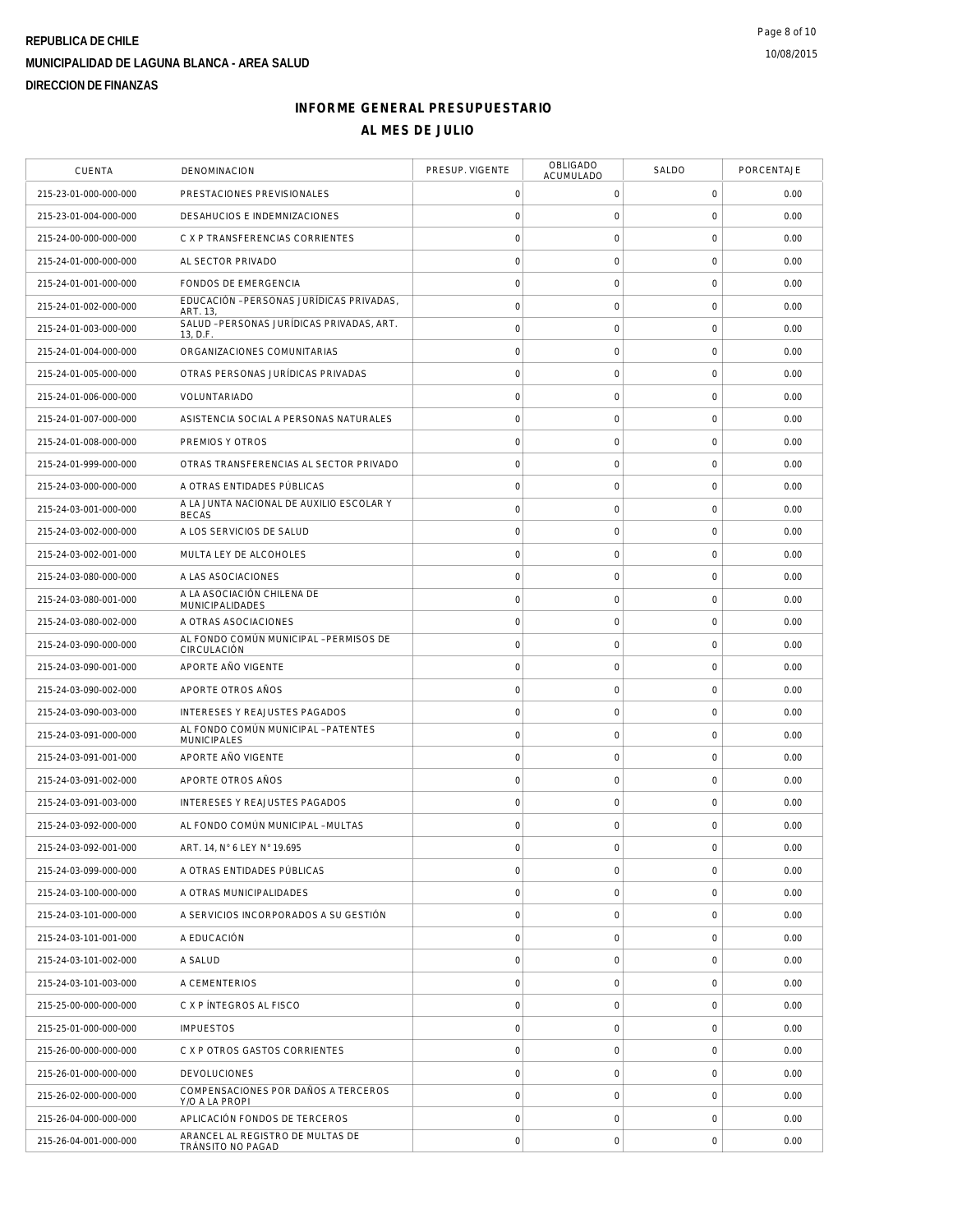| <b>CUENTA</b>         | DENOMINACION                                              | PRESUP. VIGENTE     | <b>OBLIGADO</b><br>ACUMULADO | SALDO               | PORCENTAJE |
|-----------------------|-----------------------------------------------------------|---------------------|------------------------------|---------------------|------------|
| 215-23-01-000-000-000 | PRESTACIONES PREVISIONALES                                | 0                   | 0                            | 0                   | 0.00       |
| 215-23-01-004-000-000 | DESAHUCIOS E INDEMNIZACIONES                              | $\mathbf 0$         | $\mathbf 0$                  | $\mathbf 0$         | 0.00       |
| 215-24-00-000-000-000 | C X P TRANSFERENCIAS CORRIENTES                           | $\circ$             | $\mathsf{O}\xspace$          | $\mathbf 0$         | 0.00       |
| 215-24-01-000-000-000 | AL SECTOR PRIVADO                                         | $\mathsf{O}\xspace$ | $\mathsf{O}\xspace$          | $\mathbf 0$         | 0.00       |
| 215-24-01-001-000-000 | FONDOS DE EMERGENCIA                                      | $\circ$             | $\mathsf{O}\xspace$          | $\mathbf 0$         | 0.00       |
| 215-24-01-002-000-000 | EDUCACIÓN - PERSONAS JURÍDICAS PRIVADAS,<br>ART. 13.      | $\mathbf 0$         | $\mathsf{O}\xspace$          | 0                   | 0.00       |
| 215-24-01-003-000-000 | SALUD - PERSONAS JURÍDICAS PRIVADAS, ART.<br>13, D.F.     | $\mathsf{O}\xspace$ | $\mathsf{O}\xspace$          | $\mathbf 0$         | 0.00       |
| 215-24-01-004-000-000 | ORGANIZACIONES COMUNITARIAS                               | $\mathbf 0$         | $\mathsf{O}\xspace$          | $\mathbf 0$         | 0.00       |
| 215-24-01-005-000-000 | OTRAS PERSONAS JURÍDICAS PRIVADAS                         | $\circ$             | $\mathbf 0$                  | $\mathbf 0$         | 0.00       |
| 215-24-01-006-000-000 | VOLUNTARIADO                                              | $\circ$             | $\mathsf{O}\xspace$          | $\mathbf 0$         | 0.00       |
| 215-24-01-007-000-000 | ASISTENCIA SOCIAL A PERSONAS NATURALES                    | $\mathbf 0$         | $\mathsf{O}\xspace$          | $\mathbf 0$         | 0.00       |
| 215-24-01-008-000-000 | PREMIOS Y OTROS                                           | $\circ$             | $\mathsf{O}\xspace$          | $\mathsf{O}\xspace$ | 0.00       |
| 215-24-01-999-000-000 | OTRAS TRANSFERENCIAS AL SECTOR PRIVADO                    | $\mathbf 0$         | 0                            | $\mathbf 0$         | 0.00       |
| 215-24-03-000-000-000 | A OTRAS ENTIDADES PÚBLICAS                                | $\mathbf 0$         | $\mathbf 0$                  | $\mathbf 0$         | 0.00       |
| 215-24-03-001-000-000 | A LA JUNTA NACIONAL DE AUXILIO ESCOLAR Y<br><b>BECAS</b>  | $\circ$             | $\mathbf 0$                  | $\mathbf 0$         | 0.00       |
| 215-24-03-002-000-000 | A LOS SERVICIOS DE SALUD                                  | $\mathsf{O}\xspace$ | $\mathsf{O}\xspace$          | $\mathbf 0$         | 0.00       |
| 215-24-03-002-001-000 | MULTA LEY DE ALCOHOLES                                    | $\mathbf 0$         | $\mathsf{O}\xspace$          | $\mathbf 0$         | 0.00       |
| 215-24-03-080-000-000 | A LAS ASOCIACIONES                                        | $\mathbf 0$         | $\mathsf{O}\xspace$          | 0                   | 0.00       |
| 215-24-03-080-001-000 | A LA ASOCIACIÓN CHILENA DE<br>MUNICIPALIDADES             | $\mathsf{O}\xspace$ | $\mathsf{O}\xspace$          | $\mathbf 0$         | 0.00       |
| 215-24-03-080-002-000 | A OTRAS ASOCIACIONES                                      | $\mathbf 0$         | $\mathbf 0$                  | $\mathbf 0$         | 0.00       |
| 215-24-03-090-000-000 | AL FONDO COMÚN MUNICIPAL - PERMISOS DE<br>CIRCULACIÓN     | $\circ$             | $\mathbf 0$                  | $\mathbf 0$         | 0.00       |
| 215-24-03-090-001-000 | APORTE AÑO VIGENTE                                        | $\circ$             | $\mathsf{O}\xspace$          | $\mathbf 0$         | 0.00       |
| 215-24-03-090-002-000 | APORTE OTROS AÑOS                                         | $\mathbf 0$         | $\mathsf{O}\xspace$          | $\mathbf 0$         | 0.00       |
| 215-24-03-090-003-000 | <b>INTERESES Y REAJUSTES PAGADOS</b>                      | $\circ$             | $\mathsf{O}\xspace$          | $\mathsf{O}\xspace$ | 0.00       |
| 215-24-03-091-000-000 | AL FONDO COMÚN MUNICIPAL - PATENTES<br><b>MUNICIPALES</b> | $\mathbf 0$         | 0                            | $\mathbf 0$         | 0.00       |
| 215-24-03-091-001-000 | APORTE AÑO VIGENTE                                        | $\mathsf{O}\xspace$ | $\mathsf{O}\xspace$          | $\mathbf 0$         | 0.00       |
| 215-24-03-091-002-000 | APORTE OTROS AÑOS                                         | $\circ$             | $\mathbf 0$                  | $\mathbf 0$         | 0.00       |
| 215-24-03-091-003-000 | INTERESES Y REAJUSTES PAGADOS                             | $\mathsf{O}\xspace$ | $\mathsf{O}\xspace$          | $\mathbf 0$         | 0.00       |
| 215-24-03-092-000-000 | AL FONDO COMÚN MUNICIPAL - MULTAS                         | $\mathbf 0$         | $\mathsf{O}\xspace$          | $\mathbf 0$         | 0.00       |
| 215-24-03-092-001-000 | ART. 14. N° 6 LEY N° 19.695                               | $\mathbf 0$         | $\mathsf{O}\xspace$          | $\mathbf 0$         | 0.00       |
| 215-24-03-099-000-000 | A OTRAS ENTIDADES PÚBLICAS                                | $\mathbf 0$         | $\mathsf{O}\xspace$          | $\mathbf 0$         | 0.00       |
| 215-24-03-100-000-000 | A OTRAS MUNICIPALIDADES                                   | $\mathbf 0$         | $\mathbf 0$                  | $\mathbf 0$         | 0.00       |
| 215-24-03-101-000-000 | A SERVICIOS INCORPORADOS A SU GESTIÓN                     | $\circ$             | $\mathbf 0$                  | $\mathbf 0$         | 0.00       |
| 215-24-03-101-001-000 | A EDUCACIÓN                                               | $\circ$             | $\mathsf{O}\xspace$          | $\mathbf 0$         | 0.00       |
| 215-24-03-101-002-000 | A SALUD                                                   | $\circ$             | $\mathsf{O}\xspace$          | $\mathbf 0$         | 0.00       |
| 215-24-03-101-003-000 | A CEMENTERIOS                                             | $\circ$             | $\mathsf{O}\xspace$          | $\mathbf 0$         | 0.00       |
| 215-25-00-000-000-000 | C X P INTEGROS AL FISCO                                   | $\mathbf 0$         | 0                            | $\mathbf 0$         | 0.00       |
| 215-25-01-000-000-000 | <b>IMPUESTOS</b>                                          | $\mathsf{O}\xspace$ | $\mathsf{O}\xspace$          | $\mathbf 0$         | 0.00       |
| 215-26-00-000-000-000 | C X P OTROS GASTOS CORRIENTES                             | $\circ$             | $\mathbf 0$                  | $\mathbf 0$         | 0.00       |
| 215-26-01-000-000-000 | <b>DEVOLUCIONES</b>                                       | $\mathsf{O}\xspace$ | $\mathsf{O}\xspace$          | $\mathbf 0$         | 0.00       |
| 215-26-02-000-000-000 | COMPENSACIONES POR DAÑOS A TERCEROS<br>Y/O A LA PROPI     | $\circ$             | $\mathsf{O}\xspace$          | $\mathbf 0$         | 0.00       |
| 215-26-04-000-000-000 | APLICACIÓN FONDOS DE TERCEROS                             | $\circ$             | 0                            | 0                   | 0.00       |
| 215-26-04-001-000-000 | ARANCEL AL REGISTRO DE MULTAS DE<br>TRÁNSITO NO PAGAD     | $\circ$             | $\mathsf{O}\xspace$          | $\mathbf 0$         | 0.00       |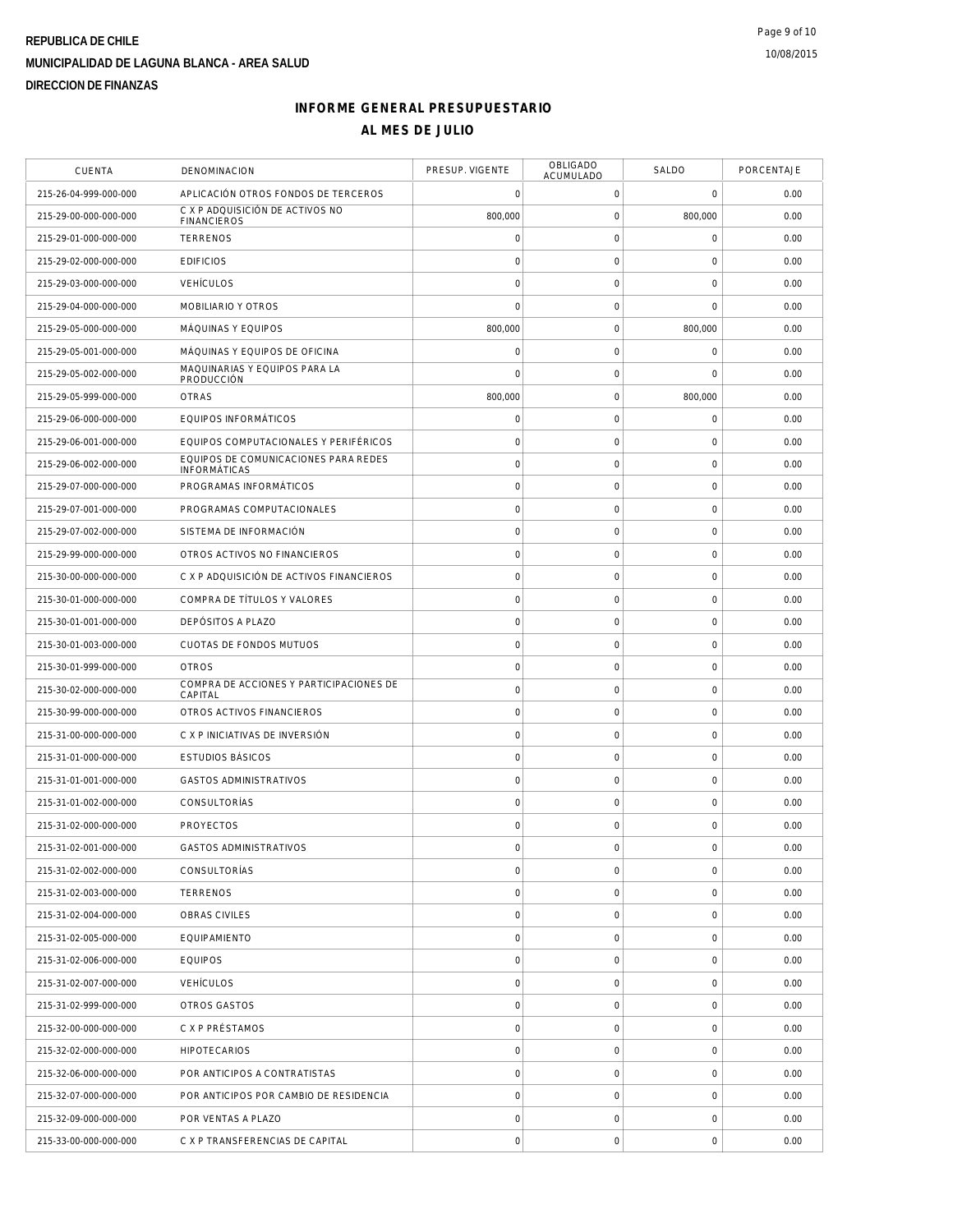| <b>CUENTA</b>         | DENOMINACION                                          | PRESUP. VIGENTE     | <b>OBLIGADO</b><br>ACUMULADO | SALDO               | PORCENTAJE |
|-----------------------|-------------------------------------------------------|---------------------|------------------------------|---------------------|------------|
| 215-26-04-999-000-000 | APLICACIÓN OTROS FONDOS DE TERCEROS                   | $\mathbf 0$         | 0                            | $\mathsf{O}\xspace$ | 0.00       |
| 215-29-00-000-000-000 | C X P ADQUISICIÓN DE ACTIVOS NO<br><b>FINANCIEROS</b> | 800.000             | 0                            | 800,000             | 0.00       |
| 215-29-01-000-000-000 | <b>TERRENOS</b>                                       | $\mathsf{O}\xspace$ | 0                            | 0                   | 0.00       |
| 215-29-02-000-000-000 | <b>EDIFICIOS</b>                                      | $\mathbf 0$         | $\mathsf{O}\xspace$          | 0                   | 0.00       |
| 215-29-03-000-000-000 | <b>VEHÍCULOS</b>                                      | $\mathbf 0$         | 0                            | 0                   | 0.00       |
| 215-29-04-000-000-000 | MOBILIARIO Y OTROS                                    | $\mathbf 0$         | $\mathsf{O}\xspace$          | $\mathbf 0$         | 0.00       |
| 215-29-05-000-000-000 | MÁQUINAS Y EQUIPOS                                    | 800,000             | $\mathsf{O}\xspace$          | 800,000             | 0.00       |
| 215-29-05-001-000-000 | MÁQUINAS Y EQUIPOS DE OFICINA                         | $\mathsf{O}\xspace$ | $\mathsf{O}\xspace$          | 0                   | 0.00       |
| 215-29-05-002-000-000 | MAQUINARIAS Y EQUIPOS PARA LA<br>PRODUCCIÓN           | $\mathbf 0$         | $\mathsf{O}\xspace$          | $\mathbf 0$         | 0.00       |
| 215-29-05-999-000-000 | <b>OTRAS</b>                                          | 800,000             | $\mathsf{O}\xspace$          | 800,000             | 0.00       |
| 215-29-06-000-000-000 | EQUIPOS INFORMÁTICOS                                  | $\mathsf{O}\xspace$ | $\mathsf{O}\xspace$          | 0                   | 0.00       |
| 215-29-06-001-000-000 | EQUIPOS COMPUTACIONALES Y PERIFÉRICOS                 | $\mathbf 0$         | $\mathsf{O}\xspace$          | 0                   | 0.00       |
| 215-29-06-002-000-000 | EQUIPOS DE COMUNICACIONES PARA REDES<br>INFORMÁTICAS  | $\mathsf{O}\xspace$ | $\mathbf 0$                  | 0                   | 0.00       |
| 215-29-07-000-000-000 | PROGRAMAS INFORMÁTICOS                                | $\mathsf{O}\xspace$ | $\mathsf{O}\xspace$          | 0                   | 0.00       |
| 215-29-07-001-000-000 | PROGRAMAS COMPUTACIONALES                             | $\mathsf{O}\xspace$ | $\mathsf{O}\xspace$          | $\mathsf{O}\xspace$ | 0.00       |
| 215-29-07-002-000-000 | SISTEMA DE INFORMACIÓN                                | $\mathsf{O}\xspace$ | $\mathsf{O}\xspace$          | 0                   | 0.00       |
| 215-29-99-000-000-000 | OTROS ACTIVOS NO FINANCIFROS                          | $\mathsf{O}\xspace$ | $\mathsf{O}\xspace$          | 0                   | 0.00       |
| 215-30-00-000-000-000 | C X P ADQUISICIÓN DE ACTIVOS FINANCIEROS              | $\mathsf{O}\xspace$ | $\mathsf{O}\xspace$          | 0                   | 0.00       |
| 215-30-01-000-000-000 | COMPRA DE TÍTULOS Y VALORES                           | $\mathsf{O}\xspace$ | $\mathbf 0$                  | 0                   | 0.00       |
| 215-30-01-001-000-000 | DEPÓSITOS A PLAZO                                     | $\mathsf{O}\xspace$ | 0                            | 0                   | 0.00       |
| 215-30-01-003-000-000 | CUOTAS DE FONDOS MUTUOS                               | $\mathsf{O}\xspace$ | $\mathsf{O}$                 | $\mathsf 0$         | 0.00       |
| 215-30-01-999-000-000 | <b>OTROS</b>                                          | $\mathbf 0$         | $\mathsf{O}\xspace$          | 0                   | 0.00       |
| 215-30-02-000-000-000 | COMPRA DE ACCIONES Y PARTICIPACIONES DE<br>CAPITAL    | $\mathsf{O}\xspace$ | $\mathsf{O}\xspace$          | 0                   | 0.00       |
| 215-30-99-000-000-000 | OTROS ACTIVOS FINANCIEROS                             | $\mathbf 0$         | $\mathsf{O}\xspace$          | $\mathsf 0$         | 0.00       |
| 215-31-00-000-000-000 | C X P INICIATIVAS DE INVERSIÓN                        | $\mathsf{O}\xspace$ | $\mathsf{O}\xspace$          | $\mathsf{O}\xspace$ | 0.00       |
| 215-31-01-000-000-000 | <b>ESTUDIOS BÁSICOS</b>                               | $\mathsf{O}\xspace$ | $\mathsf{O}\xspace$          | $\mathsf 0$         | 0.00       |
| 215-31-01-001-000-000 | <b>GASTOS ADMINISTRATIVOS</b>                         | $\mathsf{O}\xspace$ | 0                            | 0                   | 0.00       |
| 215-31-01-002-000-000 | <b>CONSULTORÍAS</b>                                   | $\mathsf{O}\xspace$ | $\mathsf{O}\xspace$          | 0                   | 0.00       |
| 215-31-02-000-000-000 | <b>PROYECTOS</b>                                      | $\mathbf 0$         | $\mathsf{O}\xspace$          | $\mathbf 0$         | 0.00       |
| 215-31-02-001-000-000 | <b>GASTOS ADMINISTRATIVOS</b>                         | $\mathsf{O}\xspace$ | 0                            | 0                   | 0.00       |
| 215-31-02-002-000-000 | CONSULTORÍAS                                          | $\mathsf{O}\xspace$ | $\mathsf{O}\xspace$          | 0                   | 0.00       |
| 215-31-02-003-000-000 | <b>TERRENOS</b>                                       | 0                   | 0                            | 0                   | 0.00       |
| 215-31-02-004-000-000 | OBRAS CIVILES                                         | $\mathsf{O}\xspace$ | 0                            | 0                   | 0.00       |
| 215-31-02-005-000-000 | EQUIPAMIENTO                                          | $\mathbf 0$         | $\mathsf{O}\xspace$          | 0                   | 0.00       |
| 215-31-02-006-000-000 | <b>EQUIPOS</b>                                        | 0                   | 0                            | 0                   | 0.00       |
| 215-31-02-007-000-000 | VEHÍCULOS                                             | $\mathsf{O}\xspace$ | $\mathsf{O}\xspace$          | 0                   | 0.00       |
| 215-31-02-999-000-000 | OTROS GASTOS                                          | $\mathsf{O}\xspace$ | $\mathsf{O}\xspace$          | 0                   | 0.00       |
| 215-32-00-000-000-000 | C X P PRÉSTAMOS                                       | $\mathsf{O}\xspace$ | 0                            | 0                   | 0.00       |
| 215-32-02-000-000-000 | <b>HIPOTECARIOS</b>                                   | $\mathsf{O}\xspace$ | 0                            | 0                   | 0.00       |
| 215-32-06-000-000-000 | POR ANTICIPOS A CONTRATISTAS                          | $\mathsf{O}\xspace$ | $\mathsf{O}\xspace$          | 0                   | 0.00       |
| 215-32-07-000-000-000 | POR ANTICIPOS POR CAMBIO DE RESIDENCIA                | $\mathsf{O}\xspace$ | 0                            | 0                   | 0.00       |
| 215-32-09-000-000-000 | POR VENTAS A PLAZO                                    | $\mathsf{O}\xspace$ | 0                            | 0                   | 0.00       |
| 215-33-00-000-000-000 | C X P TRANSFERENCIAS DE CAPITAL                       | $\mathbf 0$         | $\mathsf{O}\xspace$          | $\mathsf{O}\xspace$ | 0.00       |